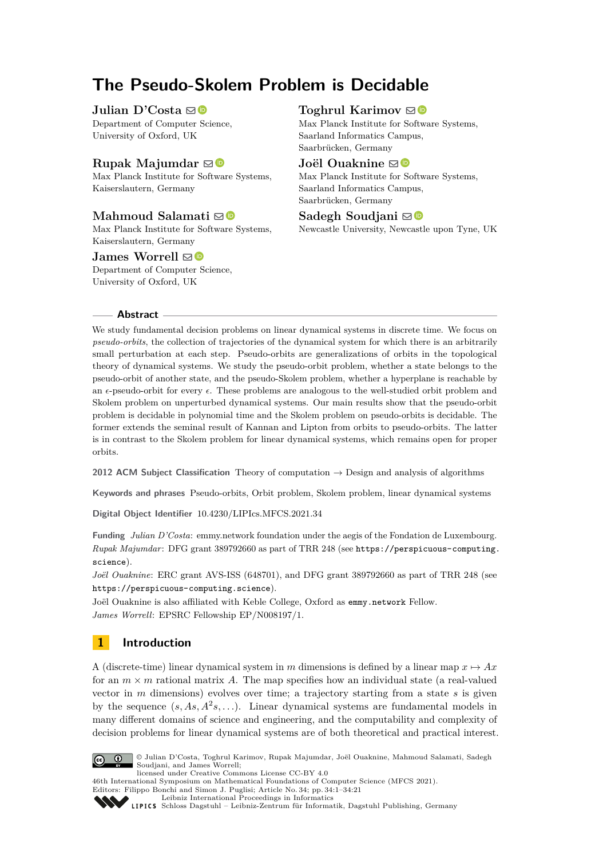# **The Pseudo-Skolem Problem is Decidable**

### **Julian D'Costa**  $\mathbf{\mathbb{D}}$

Department of Computer Science, University of Oxford, UK

# **Rupak Majumdar**  $\mathbf{\mathbb{D}}$

Max Planck Institute for Software Systems, Kaiserslautern, Germany

# **Mahmoud Salamati** ⊠<sup>■</sup>

Max Planck Institute for Software Systems, Kaiserslautern, Germany

### **James Worrell**  $\boxtimes$

Department of Computer Science, University of Oxford, UK

# **Toghrul Karimov**  $\odot$

Max Planck Institute for Software Systems, Saarland Informatics Campus, Saarbrücken, Germany

### **Joël Ouaknine** ⊠<sup>®</sup>

Max Planck Institute for Software Systems, Saarland Informatics Campus, Saarbrücken, Germany

# Sadegh Soudjani **⊠**

Newcastle University, Newcastle upon Tyne, UK

### **Abstract**

We study fundamental decision problems on linear dynamical systems in discrete time. We focus on *pseudo-orbits*, the collection of trajectories of the dynamical system for which there is an arbitrarily small perturbation at each step. Pseudo-orbits are generalizations of orbits in the topological theory of dynamical systems. We study the pseudo-orbit problem, whether a state belongs to the pseudo-orbit of another state, and the pseudo-Skolem problem, whether a hyperplane is reachable by an *ϵ*-pseudo-orbit for every *ϵ*. These problems are analogous to the well-studied orbit problem and Skolem problem on unperturbed dynamical systems. Our main results show that the pseudo-orbit problem is decidable in polynomial time and the Skolem problem on pseudo-orbits is decidable. The former extends the seminal result of Kannan and Lipton from orbits to pseudo-orbits. The latter is in contrast to the Skolem problem for linear dynamical systems, which remains open for proper orbits.

**2012 ACM Subject Classification** Theory of computation → Design and analysis of algorithms

**Keywords and phrases** Pseudo-orbits, Orbit problem, Skolem problem, linear dynamical systems

**Digital Object Identifier** [10.4230/LIPIcs.MFCS.2021.34](https://doi.org/10.4230/LIPIcs.MFCS.2021.34)

**Funding** *Julian D'Costa*: emmy.network foundation under the aegis of the Fondation de Luxembourg. *Rupak Majumdar*: DFG grant 389792660 as part of TRR 248 (see [https://perspicuous-computing.](https://perspicuous-computing.science) [science](https://perspicuous-computing.science)).

*Joël Ouaknine*: ERC grant AVS-ISS (648701), and DFG grant 389792660 as part of TRR 248 (see <https://perspicuous-computing.science>).

Joël Ouaknine is also affiliated with Keble College, Oxford as [emmy.network](http://emmy.network/) Fellow. *James Worrell*: EPSRC Fellowship EP/N008197/1.

# **1 Introduction**

A (discrete-time) linear dynamical system in *m* dimensions is defined by a linear map  $x \mapsto Ax$ for an  $m \times m$  rational matrix A. The map specifies how an individual state (a real-valued vector in *m* dimensions) evolves over time; a trajectory starting from a state *s* is given by the sequence  $(s, As, A^2s, \ldots)$ . Linear dynamical systems are fundamental models in many different domains of science and engineering, and the computability and complexity of decision problems for linear dynamical systems are of both theoretical and practical interest.



© Julian D'Costa, Toghrul Karimov, Rupak Majumdar, Joël Ouaknine, Mahmoud Salamati, Sadegh Soudjani, and James Worrell; licensed under Creative Commons License CC-BY 4.0

46th International Symposium on Mathematical Foundations of Computer Science (MFCS 2021).

Editors: Filippo Bonchi and Simon J. Puglisi; Article No. 34; pp. 34:1–34:21

[Leibniz International Proceedings in Informatics](https://www.dagstuhl.de/lipics/)

[Schloss Dagstuhl – Leibniz-Zentrum für Informatik, Dagstuhl Publishing, Germany](https://www.dagstuhl.de)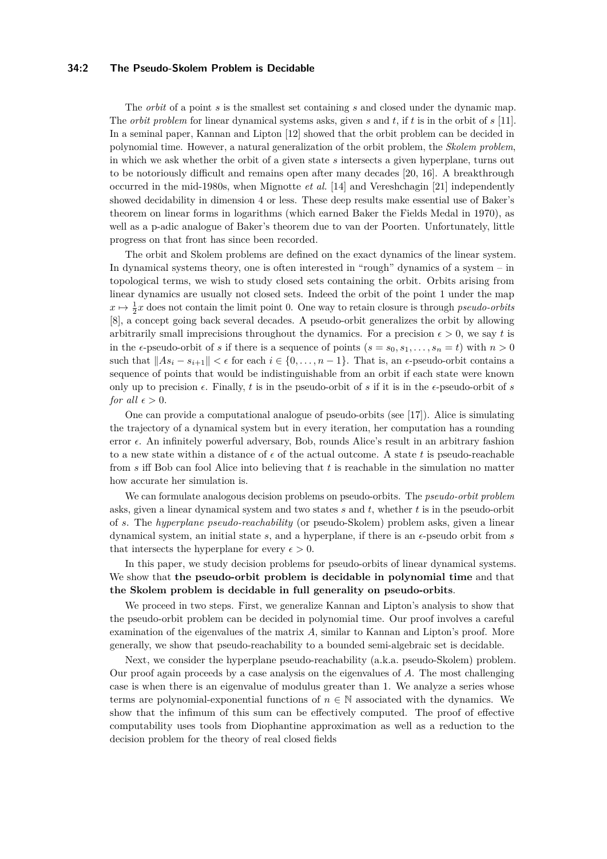### **34:2 The Pseudo-Skolem Problem is Decidable**

The *orbit* of a point *s* is the smallest set containing *s* and closed under the dynamic map. The *orbit problem* for linear dynamical systems asks, given *s* and *t*, if *t* is in the orbit of *s* [\[11\]](#page-16-0). In a seminal paper, Kannan and Lipton [\[12\]](#page-16-1) showed that the orbit problem can be decided in polynomial time. However, a natural generalization of the orbit problem, the *Skolem problem*, in which we ask whether the orbit of a given state *s* intersects a given hyperplane, turns out to be notoriously difficult and remains open after many decades [\[20,](#page-17-0) [16\]](#page-17-1). A breakthrough occurred in the mid-1980s, when Mignotte *et al.* [\[14\]](#page-17-2) and Vereshchagin [\[21\]](#page-17-3) independently showed decidability in dimension 4 or less. These deep results make essential use of Baker's theorem on linear forms in logarithms (which earned Baker the Fields Medal in 1970), as well as a p-adic analogue of Baker's theorem due to van der Poorten. Unfortunately, little progress on that front has since been recorded.

The orbit and Skolem problems are defined on the exact dynamics of the linear system. In dynamical systems theory, one is often interested in "rough" dynamics of a system – in topological terms, we wish to study closed sets containing the orbit. Orbits arising from linear dynamics are usually not closed sets. Indeed the orbit of the point 1 under the map  $x \mapsto \frac{1}{2}x$  does not contain the limit point 0. One way to retain closure is through *pseudo-orbits* [\[8\]](#page-16-2), a concept going back several decades. A pseudo-orbit generalizes the orbit by allowing arbitrarily small imprecisions throughout the dynamics. For a precision  $\epsilon > 0$ , we say t is in the  $\epsilon$ -pseudo-orbit of *s* if there is a sequence of points  $(s = s_0, s_1, \ldots, s_n = t)$  with  $n > 0$ such that  $||As_i - s_{i+1}|| < \epsilon$  for each  $i \in \{0, \ldots, n-1\}$ . That is, an  $\epsilon$ -pseudo-orbit contains a sequence of points that would be indistinguishable from an orbit if each state were known only up to precision  $\epsilon$ . Finally, t is in the pseudo-orbit of s if it is in the  $\epsilon$ -pseudo-orbit of s *for all*  $\epsilon > 0$ .

One can provide a computational analogue of pseudo-orbits (see [\[17\]](#page-17-4)). Alice is simulating the trajectory of a dynamical system but in every iteration, her computation has a rounding error  $\epsilon$ . An infinitely powerful adversary, Bob, rounds Alice's result in an arbitrary fashion to a new state within a distance of  $\epsilon$  of the actual outcome. A state t is pseudo-reachable from *s* iff Bob can fool Alice into believing that *t* is reachable in the simulation no matter how accurate her simulation is.

We can formulate analogous decision problems on pseudo-orbits. The *pseudo-orbit problem* asks, given a linear dynamical system and two states *s* and *t*, whether *t* is in the pseudo-orbit of *s*. The *hyperplane pseudo-reachability* (or pseudo-Skolem) problem asks, given a linear dynamical system, an initial state *s*, and a hyperplane, if there is an *ϵ*-pseudo orbit from *s* that intersects the hyperplane for every  $\epsilon > 0$ .

In this paper, we study decision problems for pseudo-orbits of linear dynamical systems. We show that **the pseudo-orbit problem is decidable in polynomial time** and that **the Skolem problem is decidable in full generality on pseudo-orbits**.

We proceed in two steps. First, we generalize Kannan and Lipton's analysis to show that the pseudo-orbit problem can be decided in polynomial time. Our proof involves a careful examination of the eigenvalues of the matrix *A*, similar to Kannan and Lipton's proof. More generally, we show that pseudo-reachability to a bounded semi-algebraic set is decidable.

Next, we consider the hyperplane pseudo-reachability (a.k.a. pseudo-Skolem) problem. Our proof again proceeds by a case analysis on the eigenvalues of *A*. The most challenging case is when there is an eigenvalue of modulus greater than 1. We analyze a series whose terms are polynomial-exponential functions of  $n \in \mathbb{N}$  associated with the dynamics. We show that the infimum of this sum can be effectively computed. The proof of effective computability uses tools from Diophantine approximation as well as a reduction to the decision problem for the theory of real closed fields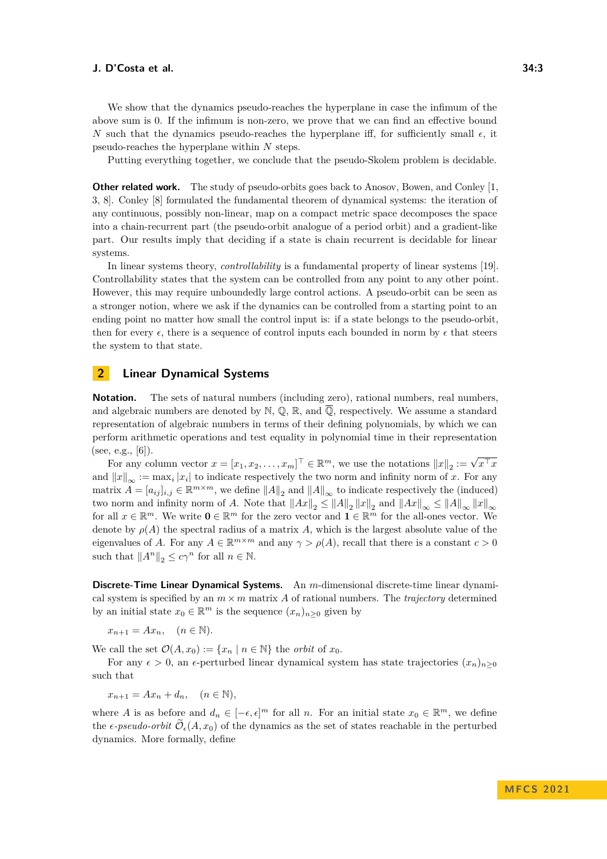We show that the dynamics pseudo-reaches the hyperplane in case the infimum of the above sum is 0. If the infimum is non-zero, we prove that we can find an effective bound *N* such that the dynamics pseudo-reaches the hyperplane iff, for sufficiently small  $\epsilon$ , it pseudo-reaches the hyperplane within *N* steps.

Putting everything together, we conclude that the pseudo-Skolem problem is decidable.

**Other related work.** The study of pseudo-orbits goes back to Anosov, Bowen, and Conley [\[1,](#page-16-3) [3,](#page-16-4) [8\]](#page-16-2). Conley [\[8\]](#page-16-2) formulated the fundamental theorem of dynamical systems: the iteration of any continuous, possibly non-linear, map on a compact metric space decomposes the space into a chain-recurrent part (the pseudo-orbit analogue of a period orbit) and a gradient-like part. Our results imply that deciding if a state is chain recurrent is decidable for linear systems.

In linear systems theory, *controllability* is a fundamental property of linear systems [\[19\]](#page-17-5). Controllability states that the system can be controlled from any point to any other point. However, this may require unboundedly large control actions. A pseudo-orbit can be seen as a stronger notion, where we ask if the dynamics can be controlled from a starting point to an ending point no matter how small the control input is: if a state belongs to the pseudo-orbit, then for every  $\epsilon$ , there is a sequence of control inputs each bounded in norm by  $\epsilon$  that steers the system to that state.

# <span id="page-2-0"></span>**2 Linear Dynamical Systems**

**Notation.** The sets of natural numbers (including zero), rational numbers, real numbers, and algebraic numbers are denoted by  $\mathbb{N}, \mathbb{Q}, \mathbb{R}$ , and  $\overline{\mathbb{Q}}$ , respectively. We assume a standard representation of algebraic numbers in terms of their defining polynomials, by which we can perform arithmetic operations and test equality in polynomial time in their representation (see, e.g.,  $[6]$ ).

For any column vector  $x = [x_1, x_2, \dots, x_m]^\top \in \mathbb{R}^m$ , we use the notations  $||x||_2 := \sqrt{x^\top x}$ and  $||x||_{\infty} := \max_i |x_i|$  to indicate respectively the two norm and infinity norm of *x*. For any  $\text{matrix } A = [a_{ij}]_{i,j} \in \mathbb{R}^{m \times m}$ , we define  $||A||_2$  and  $||A||_{\infty}$  to indicate respectively the (induced) two norm and infinity norm of *A*. Note that  $||Ax||_2 \le ||A||_2 ||x||_2$  and  $||Ax||_{\infty} \le ||A||_{\infty} ||x||_{\infty}$ for all  $x \in \mathbb{R}^m$ . We write  $\mathbf{0} \in \mathbb{R}^m$  for the zero vector and  $\mathbf{1} \in \mathbb{R}^m$  for the all-ones vector. We denote by  $\rho(A)$  the spectral radius of a matrix A, which is the largest absolute value of the eigenvalues of *A*. For any  $A \in \mathbb{R}^{m \times m}$  and any  $\gamma > \rho(A)$ , recall that there is a constant  $c > 0$ such that  $||A^n||_2 \leq c\gamma^n$  for all  $n \in \mathbb{N}$ .

**Discrete-Time Linear Dynamical Systems.** An *m*-dimensional discrete-time linear dynamical system is specified by an  $m \times m$  matrix A of rational numbers. The *trajectory* determined by an initial state  $x_0 \in \mathbb{R}^m$  is the sequence  $(x_n)_{n \geq 0}$  given by

 $x_{n+1} = Ax_n, \quad (n \in \mathbb{N}).$ 

We call the set  $\mathcal{O}(A, x_0) := \{x_n \mid n \in \mathbb{N}\}\$ the *orbit* of  $x_0$ .

For any  $\epsilon > 0$ , an  $\epsilon$ -perturbed linear dynamical system has state trajectories  $(x_n)_{n>0}$ such that

 $x_{n+1} = Ax_n + d_n, \quad (n \in \mathbb{N}),$ 

where *A* is as before and  $d_n \in [-\epsilon, \epsilon]^m$  for all *n*. For an initial state  $x_0 \in \mathbb{R}^m$ , we define the  $\epsilon$ -pseudo-orbit  $\mathcal{O}_{\epsilon}(A, x_0)$  of the dynamics as the set of states reachable in the perturbed dynamics. More formally, define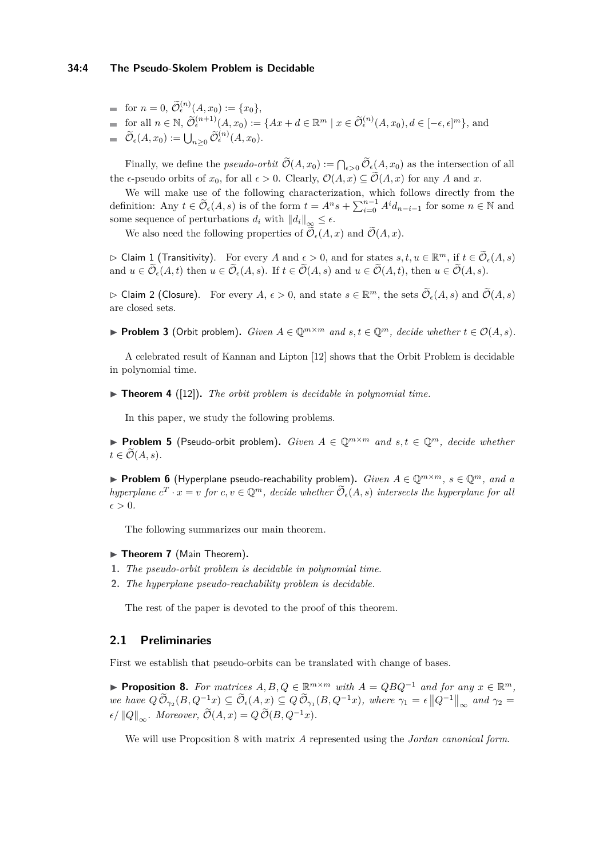#### **34:4 The Pseudo-Skolem Problem is Decidable**

- for  $n = 0$ ,  $\widetilde{\mathcal{O}}_{\epsilon}^{(n)}(A, x_0) := \{x_0\},\$
- $\widetilde{\mathcal{O}}_{\epsilon}^{(n+1)}(A, x_0) := \{Ax + d \in \mathbb{R}^m \mid x \in \widetilde{\mathcal{O}}_{\epsilon}^{(n)}(A, x_0), d \in [-\epsilon, \epsilon]^m\},\$ and  $\widetilde{\mathcal{O}}_{\epsilon}(A, x_0) := \bigcup_{n \geq 0} \widetilde{\mathcal{O}}_{\epsilon}^{(n)}(A, x_0).$

Finally, we define the *pseudo-orbit*  $\mathcal{O}(A, x_0) := \bigcap_{\epsilon > 0} \mathcal{O}_{\epsilon}(A, x_0)$  as the intersection of all the  $\epsilon$ -pseudo orbits of  $x_0$ , for all  $\epsilon > 0$ . Clearly,  $\mathcal{O}(A, x) \subseteq \widetilde{\mathcal{O}}(A, x)$  for any A and x.

We will make use of the following characterization, which follows directly from the definition: Any  $t \in \widetilde{\mathcal{O}}_{\epsilon}(A, s)$  is of the form  $t = A^n s + \sum_{i=0}^{n-1} A^i d_{n-i-1}$  for some  $n \in \mathbb{N}$  and some sequence of perturbations  $d_i$  with  $||d_i||_{\infty} \leq \epsilon$ .

We also need the following properties of  $\widetilde{\mathcal{O}}_{\epsilon}(A, x)$  and  $\widetilde{\mathcal{O}}(A, x)$ .

 $\rhd$  Claim 1 (Transitivity). For every *A* and  $\epsilon > 0$ , and for states *s*, *t*, *u* ∈ R<sup>*m*</sup>, if *t* ∈ Õ<sub>*∈*</sub>(*A*, *s*) and  $u \in \widetilde{\mathcal{O}}_{\epsilon}(A, t)$  then  $u \in \widetilde{\mathcal{O}}_{\epsilon}(A, s)$ . If  $t \in \widetilde{\mathcal{O}}(A, s)$  and  $u \in \widetilde{\mathcal{O}}(A, t)$ , then  $u \in \widetilde{\mathcal{O}}(A, s)$ .

 $\triangleright$  Claim 2 (Closure). For every  $A, \epsilon > 0$ , and state  $s \in \mathbb{R}^m$ , the sets  $\widetilde{\mathcal{O}}_{\epsilon}(A, s)$  and  $\widetilde{\mathcal{O}}(A, s)$ are closed sets.

▶ **Problem 3** (Orbit problem). *Given*  $A \in \mathbb{Q}^{m \times m}$  *and*  $s, t \in \mathbb{Q}^m$ *, decide whether*  $t \in \mathcal{O}(A, s)$ *.* 

A celebrated result of Kannan and Lipton [\[12\]](#page-16-1) shows that the Orbit Problem is decidable in polynomial time.

▶ **Theorem 4** ([\[12\]](#page-16-1))**.** *The orbit problem is decidable in polynomial time.*

In this paper, we study the following problems.

<span id="page-3-1"></span>▶ **Problem 5** (Pseudo-orbit problem). *Given*  $A \in \mathbb{Q}^{m \times m}$  *and*  $s, t \in \mathbb{Q}^m$ *, decide whether*  $t \in \mathcal{O}(A,s)$ .

▶ **Problem 6** (Hyperplane pseudo-reachability problem). *Given*  $A \in \mathbb{Q}^{m \times m}$ ,  $s \in \mathbb{Q}^m$ , and a *hyperplane*  $c^T \cdot x = v$  *for*  $c, v \in \mathbb{Q}^m$ *, decide whether*  $\widetilde{\mathcal{O}}_{\epsilon}(A, s)$  *intersects the hyperplane for all*  $\epsilon > 0$ .

The following summarizes our main theorem.

### <span id="page-3-2"></span>▶ **Theorem 7** (Main Theorem).

- **1.** *The pseudo-orbit problem is decidable in polynomial time.*
- **2.** *The hyperplane pseudo-reachability problem is decidable.*

The rest of the paper is devoted to the proof of this theorem.

### **2.1 Preliminaries**

<span id="page-3-0"></span>First we establish that pseudo-orbits can be translated with change of bases.

▶ **Proposition 8.** For matrices  $A, B, Q \in \mathbb{R}^{m \times m}$  with  $A = QBQ^{-1}$  and for any  $x \in \mathbb{R}^m$ ,  $we$   $have$   $Q\ddot{\mathcal{O}}_{\gamma_2}(B,Q^{-1}x) \subseteq \ddot{\mathcal{O}}_{\epsilon}(A,x) \subseteq Q\ddot{\mathcal{O}}_{\gamma_1}(B,Q^{-1}x)$ , where  $\gamma_1 = \epsilon ||Q^{-1}||_{\infty}$  and  $\gamma_2 =$  $\mathcal{O}(\mathcal{A}) = Q(\mathcal{A}) \mathcal{O}(\mathcal{A}) = Q(\mathcal{A}) \mathcal{O}(\mathcal{A}) = Q(\mathcal{A}) \mathcal{O}(\mathcal{A})$ .

We will use Proposition [8](#page-3-0) with matrix *A* represented using the *Jordan canonical form*.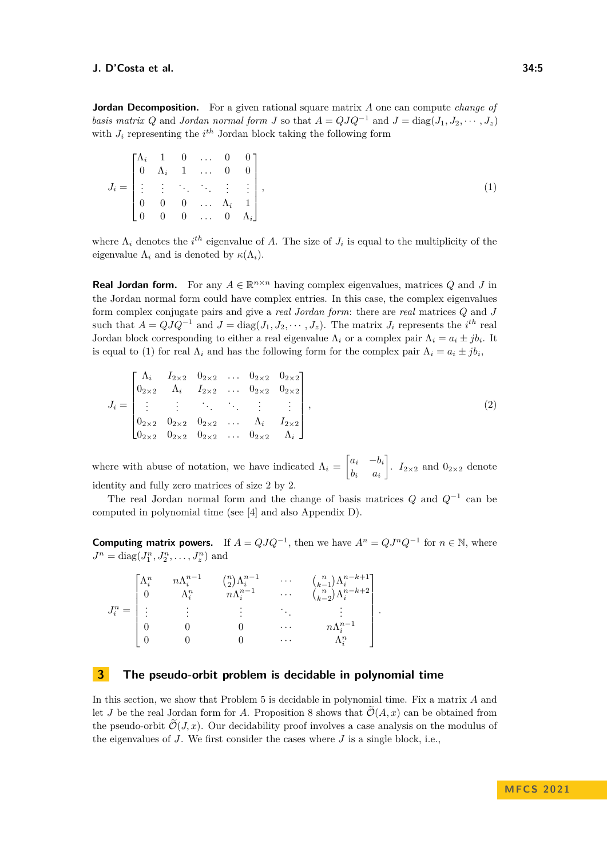**Jordan Decomposition.** For a given rational square matrix A one can compute *change of basis matrix Q* and *Jordan normal form J* so that  $A = QJQ^{-1}$  and  $J = \text{diag}(J_1, J_2, \dots, J_z)$ with  $J_i$  representing the  $i^{th}$  Jordan block taking the following form

<span id="page-4-0"></span>
$$
J_i = \begin{bmatrix} \Lambda_i & 1 & 0 & \dots & 0 & 0 \\ 0 & \Lambda_i & 1 & \dots & 0 & 0 \\ \vdots & \vdots & \ddots & \ddots & \vdots & \vdots \\ 0 & 0 & 0 & \dots & \Lambda_i & 1 \\ 0 & 0 & 0 & \dots & 0 & \Lambda_i \end{bmatrix},
$$
(1)

where  $\Lambda_i$  denotes the *i*<sup>th</sup> eigenvalue of *A*. The size of  $J_i$  is equal to the multiplicity of the eigenvalue  $\Lambda_i$  and is denoted by  $\kappa(\Lambda_i)$ .

**Real Jordan form.** For any  $A \in \mathbb{R}^{n \times n}$  having complex eigenvalues, matrices *Q* and *J* in the Jordan normal form could have complex entries. In this case, the complex eigenvalues form complex conjugate pairs and give a *real Jordan form*: there are *real* matrices *Q* and *J* such that  $A = QJQ^{-1}$  and  $J = \text{diag}(J_1, J_2, \dots, J_z)$ . The matrix  $J_i$  represents the *i*<sup>th</sup> real Jordan block corresponding to either a real eigenvalue  $\Lambda_i$  or a complex pair  $\Lambda_i = a_i \pm jb_i$ . It is equal to [\(1\)](#page-4-0) for real  $\Lambda_i$  and has the following form for the complex pair  $\Lambda_i = a_i \pm jb_i$ ,

$$
J_i = \begin{bmatrix} \Lambda_i & I_{2\times 2} & 0_{2\times 2} & \dots & 0_{2\times 2} & 0_{2\times 2} \\ 0_{2\times 2} & \Lambda_i & I_{2\times 2} & \dots & 0_{2\times 2} & 0_{2\times 2} \\ \vdots & \vdots & \ddots & \ddots & \vdots & \vdots \\ 0_{2\times 2} & 0_{2\times 2} & 0_{2\times 2} & \dots & \Lambda_i & I_{2\times 2} \\ 0_{2\times 2} & 0_{2\times 2} & 0_{2\times 2} & \dots & 0_{2\times 2} & \Lambda_i \end{bmatrix},
$$
\n(2)

where with abuse of notation, we have indicated  $\Lambda_i = \begin{bmatrix} a_i & -b_i \\ b_i & a_i \end{bmatrix}$  $b_i$  *a*<sub>*i*</sub> .  $I_{2\times 2}$  and  $0_{2\times 2}$  denote identity and fully zero matrices of size 2 by 2.

The real Jordan normal form and the change of basis matrices *Q* and *Q*<sup>−</sup><sup>1</sup> can be computed in polynomial time (see [\[4\]](#page-16-6) and also Appendix [D\)](#page-19-0).

**Computing matrix powers.** If  $A = QJQ^{-1}$ , then we have  $A^n = QJ^nQ^{-1}$  for  $n \in \mathbb{N}$ , where  $J^n = \text{diag}(J_1^n, J_2^n, \dots, J_z^n)$  and

|                                                                                                          | $\Lambda^n_i$ | $n \Lambda_i^{n-1}$<br>۸n | $\binom{n}{2}\Lambda_i^{n-1}$<br>$n\Lambda_i^{n-1}$ | $\cdots$<br>$\cdots$ | $\binom{n}{k-1}\Lambda^{n-k+1}_i$<br>$\binom{n}{k-2}\Lambda^{n-k+2}_i$ |  |
|----------------------------------------------------------------------------------------------------------|---------------|---------------------------|-----------------------------------------------------|----------------------|------------------------------------------------------------------------|--|
| $J_i^n = % \begin{cases} I_i & \text{if } i \neq j \\ 0 & \text{if } i \neq j \end{cases} \label{eq:Ji}$ |               |                           |                                                     |                      |                                                                        |  |
|                                                                                                          |               |                           |                                                     | $\cdots$             | $n \Lambda_i^{n-1}$                                                    |  |
|                                                                                                          |               |                           |                                                     | $\cdots$             | . $\,n$                                                                |  |

# <span id="page-4-2"></span>**3 The pseudo-orbit problem is decidable in polynomial time**

<span id="page-4-1"></span>In this section, we show that Problem [5](#page-3-1) is decidable in polynomial time. Fix a matrix *A* and let *J* be the real Jordan form for *A*. Proposition [8](#page-3-0) shows that  $\mathcal{O}(A, x)$  can be obtained from the pseudo-orbit  $\mathcal{O}(J, x)$ . Our decidability proof involves a case analysis on the modulus of the eigenvalues of *J*. We first consider the cases where *J* is a single block, i.e.,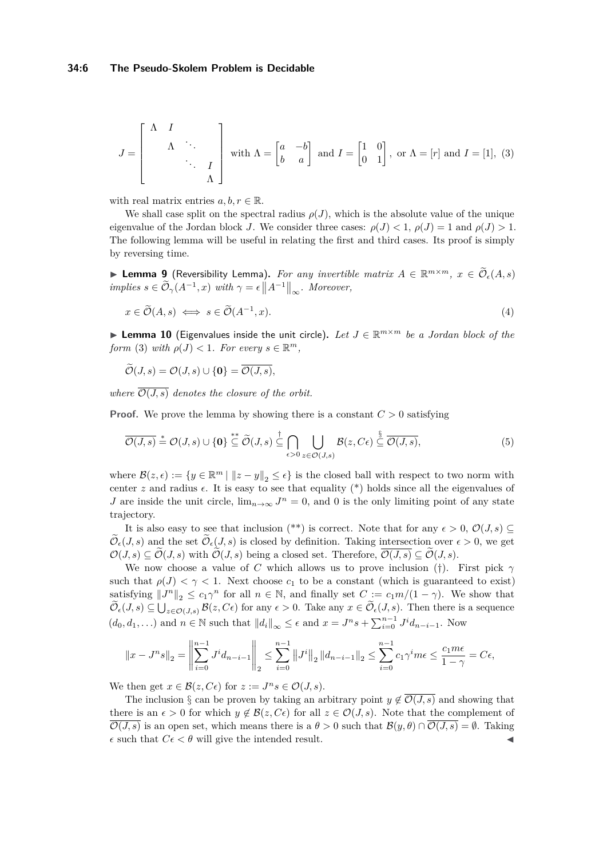$$
J = \begin{bmatrix} \Lambda & I & & \\ & \Lambda & \ddots & \\ & & \ddots & I \\ & & & \Lambda \end{bmatrix} \text{ with } \Lambda = \begin{bmatrix} a & -b \\ b & a \end{bmatrix} \text{ and } I = \begin{bmatrix} 1 & 0 \\ 0 & 1 \end{bmatrix}, \text{ or } \Lambda = [r] \text{ and } I = [1], (3)
$$

with real matrix entries  $a, b, r \in \mathbb{R}$ .

We shall case split on the spectral radius  $\rho(J)$ , which is the absolute value of the unique eigenvalue of the Jordan block *J*. We consider three cases:  $\rho(J) < 1$ ,  $\rho(J) = 1$  and  $\rho(J) > 1$ . The following lemma will be useful in relating the first and third cases. Its proof is simply by reversing time.

<span id="page-5-0"></span>▶ **Lemma 9** (Reversibility Lemma). *For any invertible matrix*  $A \in \mathbb{R}^{m \times m}$ ,  $x \in \widetilde{\mathcal{O}}_{\epsilon}(A,s)$  $\langle M, M \rangle = \epsilon \left\| A^{-1} \right\|_{\infty}$ *. Moreover,* 

<span id="page-5-2"></span>
$$
x \in \widetilde{\mathcal{O}}(A,s) \iff s \in \widetilde{\mathcal{O}}(A^{-1},x). \tag{4}
$$

<span id="page-5-1"></span>▶ **Lemma 10** (Eigenvalues inside the unit circle)**.** *Let J* ∈ R *<sup>m</sup>*×*<sup>m</sup> be a Jordan block of the form* [\(3\)](#page-4-1) *with*  $\rho(J) < 1$ *. For every*  $s \in \mathbb{R}^m$ *,* 

 $\widetilde{\mathcal{O}}(J,s) = \mathcal{O}(J,s) \cup \{\mathbf{0}\} = \overline{\mathcal{O}(J,s)},$ 

*where*  $\overline{\mathcal{O}(J,s)}$  *denotes the closure of the orbit.* 

**Proof.** We prove the lemma by showing there is a constant  $C > 0$  satisfying

$$
\overline{\mathcal{O}(J,s)} \stackrel{*}{=} \mathcal{O}(J,s) \cup \{\mathbf{0}\} \stackrel{**}{\subseteq} \widetilde{\mathcal{O}}(J,s) \stackrel{\dagger}{\subseteq} \bigcap_{\epsilon > 0} \bigcup_{z \in \mathcal{O}(J,s)} \mathcal{B}(z,C\epsilon) \stackrel{\S}{\subseteq} \overline{\mathcal{O}(J,s)},\tag{5}
$$

where  $\mathcal{B}(z,\epsilon) := \{y \in \mathbb{R}^m \mid ||z - y||_2 \leq \epsilon\}$  is the closed ball with respect to two norm with center  $z$  and radius  $\epsilon$ . It is easy to see that equality  $(*)$  holds since all the eigenvalues of *J* are inside the unit circle,  $\lim_{n\to\infty} J^n = 0$ , and 0 is the only limiting point of any state trajectory.

It is also easy to see that inclusion  $(**)$  is correct. Note that for any  $\epsilon > 0$ ,  $\mathcal{O}(J, s) \subseteq$  $\widetilde{\mathcal{O}}_{\epsilon}(J, s)$  and the set  $\widetilde{\mathcal{O}}_{\epsilon}(J, s)$  is closed by definition. Taking intersection over  $\epsilon > 0$ , we get  $\mathcal{O}(J, s) \subset \widetilde{\mathcal{O}}(J, s)$  with  $\widetilde{\mathcal{O}}(J, s)$  being a closed set. Therefore,  $\overline{\mathcal{O}(J, s)} \subset \widetilde{\mathcal{O}}(J, s)$ .

We now choose a value of *C* which allows us to prove inclusion (†). First pick *γ* such that  $\rho(J) < \gamma < 1$ . Next choose  $c_1$  to be a constant (which is guaranteed to exist) satisfying  $||J^n||_2 \le c_1 \gamma^n$  for all  $n \in \mathbb{N}$ , and finally set  $C := c_1 m/(1 - \gamma)$ . We show that  $\mathcal{O}_{\epsilon}(J, s) \subseteq \bigcup_{z \in \mathcal{O}(J, s)} \mathcal{B}(z, C\epsilon)$  for any  $\epsilon > 0$ . Take any  $x \in \mathcal{O}_{\epsilon}(J, s)$ . Then there is a sequence  $(d_0, d_1, \ldots)$  and  $n \in \mathbb{N}$  such that  $||d_i||_{\infty} \leq \epsilon$  and  $x = J^n s + \sum_{i=0}^{n-1} J^i d_{n-i-1}$ . Now

$$
||x - Jn s||_2 = \left\| \sum_{i=0}^{n-1} J^i d_{n-i-1} \right\|_2 \le \sum_{i=0}^{n-1} ||J^i||_2 ||d_{n-i-1}||_2 \le \sum_{i=0}^{n-1} c_1 \gamma^i m \epsilon \le \frac{c_1 m \epsilon}{1 - \gamma} = C \epsilon,
$$

We then get  $x \in \mathcal{B}(z, C\epsilon)$  for  $z := J^n s \in \mathcal{O}(J, s)$ .

The inclusion § can be proven by taking an arbitrary point  $y \notin \overline{\mathcal{O}(J,s)}$  and showing that there is an  $\epsilon > 0$  for which  $y \notin \mathcal{B}(z, C\epsilon)$  for all  $z \in \mathcal{O}(J, s)$ . Note that the complement of  $\overline{\mathcal{O}(J,s)}$  is an open set, which means there is a  $\theta > 0$  such that  $\mathcal{B}(y,\theta) \cap \overline{\mathcal{O}(J,s)} = \emptyset$ . Taking  $\epsilon$  such that  $C\epsilon < \theta$  will give the intended result.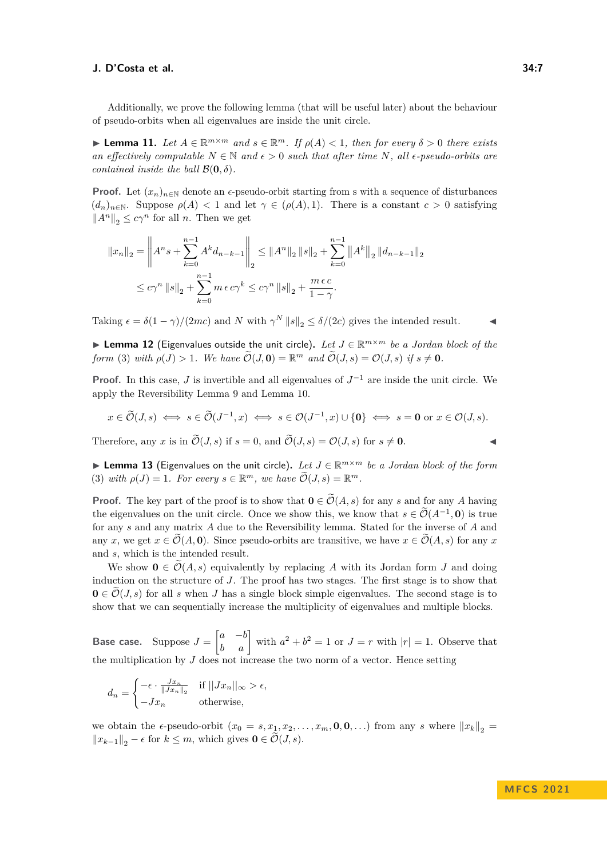Additionally, we prove the following lemma (that will be useful later) about the behaviour of pseudo-orbits when all eigenvalues are inside the unit circle.

<span id="page-6-0"></span>▶ **Lemma 11.** Let  $A \in \mathbb{R}^{m \times m}$  and  $s \in \mathbb{R}^m$ . If  $\rho(A) < 1$ , then for every  $\delta > 0$  there exists *an effectively computable*  $N \in \mathbb{N}$  *and*  $\epsilon > 0$  *such that after time*  $N$ *, all*  $\epsilon$ -pseudo-orbits are *contained inside the ball*  $\mathcal{B}(\mathbf{0}, \delta)$ *.* 

**Proof.** Let  $(x_n)_{n\in\mathbb{N}}$  denote an  $\epsilon$ -pseudo-orbit starting from s with a sequence of disturbances  $(d_n)_{n\in\mathbb{N}}$ . Suppose  $\rho(A) < 1$  and let  $\gamma \in (\rho(A), 1)$ . There is a constant  $c > 0$  satisfying  $||A^n||_2$  ≤  $c\gamma^n$  for all *n*. Then we get

$$
||x_{n}||_{2} = \left||A^{n}s + \sum_{k=0}^{n-1} A^{k}d_{n-k-1}\right||_{2} \leq ||A^{n}||_{2} ||s||_{2} + \sum_{k=0}^{n-1} ||A^{k}||_{2} ||d_{n-k-1}||_{2}
$$
  

$$
\leq c\gamma^{n} ||s||_{2} + \sum_{k=0}^{n-1} m \epsilon c\gamma^{k} \leq c\gamma^{n} ||s||_{2} + \frac{m \epsilon c}{1-\gamma}.
$$

Taking  $\epsilon = \delta(1-\gamma)/(2mc)$  and *N* with  $\gamma^N ||s||_2 \leq \delta/(2c)$  gives the intended result.  $\blacktriangleleft$ 

<span id="page-6-2"></span>▶ **Lemma 12** (Eigenvalues outside the unit circle)**.** *Let J* ∈ R *<sup>m</sup>*×*<sup>m</sup> be a Jordan block of the form* [\(3\)](#page-4-1) *with*  $\rho(J) > 1$ *. We have*  $\widetilde{\mathcal{O}}(J, \mathbf{0}) = \mathbb{R}^m$  *and*  $\widetilde{\mathcal{O}}(J, s) = \mathcal{O}(J, s)$  *if*  $s \neq \mathbf{0}$ *.* 

**Proof.** In this case, *J* is invertible and all eigenvalues of  $J^{-1}$  are inside the unit circle. We apply the Reversibility Lemma [9](#page-5-0) and Lemma [10.](#page-5-1)

$$
x \in \widetilde{\mathcal{O}}(J,s) \iff s \in \widetilde{\mathcal{O}}(J^{-1},x) \iff s \in \mathcal{O}(J^{-1},x) \cup \{\mathbf{0}\} \iff s = \mathbf{0} \text{ or } x \in \mathcal{O}(J,s).
$$

Therefore, any *x* is in  $\widetilde{\mathcal{O}}(J, s)$  if  $s = 0$ , and  $\widetilde{\mathcal{O}}(J, s) = \mathcal{O}(J, s)$  for  $s \neq \mathbf{0}$ .

<span id="page-6-1"></span>▶ **Lemma 13** (Eigenvalues on the unit circle)**.** *Let J* ∈ R *<sup>m</sup>*×*<sup>m</sup> be a Jordan block of the form* [\(3\)](#page-4-1) *with*  $\rho(J) = 1$ *. For every*  $s \in \mathbb{R}^m$ *, we have*  $\widetilde{\mathcal{O}}(J, s) = \mathbb{R}^m$ *.* 

**Proof.** The key part of the proof is to show that  $\mathbf{0} \in \widetilde{\mathcal{O}}(A, s)$  for any *s* and for any *A* having the eigenvalues on the unit circle. Once we show this, we know that  $s \in \mathcal{O}(A^{-1}, \mathbf{0})$  is true for any *s* and any matrix *A* due to the Reversibility lemma. Stated for the inverse of *A* and any *x*, we get  $x \in \mathcal{O}(A, 0)$ . Since pseudo-orbits are transitive, we have  $x \in \mathcal{O}(A, s)$  for any *x* and *s*, which is the intended result.

We show  $\mathbf{0} \in \mathcal{O}(A, s)$  equivalently by replacing A with its Jordan form J and doing induction on the structure of *J*. The proof has two stages. The first stage is to show that  $\mathbf{0} \in \mathcal{O}(J, s)$  for all *s* when *J* has a single block simple eigenvalues. The second stage is to show that we can sequentially increase the multiplicity of eigenvalues and multiple blocks.

**Base case.** Suppose  $J = \begin{bmatrix} a & -b \\ b & a \end{bmatrix}$  with  $a^2 + b^2 = 1$  or  $J = r$  with  $|r| = 1$ . Observe that the multiplication by  $J$  does not increase the two norm of a vector. Hence setting

$$
d_n = \begin{cases} -\epsilon \cdot \frac{Jx_n}{\|Jx_n\|_2} & \text{if } ||Jx_n||_{\infty} > \epsilon, \\ -Jx_n & \text{otherwise,} \end{cases}
$$

we obtain the  $\epsilon$ -pseudo-orbit  $(x_0 = s, x_1, x_2, \ldots, x_m, \mathbf{0}, \mathbf{0}, \ldots)$  from any *s* where  $||x_k||_2 =$  $||x_{k-1}||_2$  −  $\epsilon$  for  $k \leq m$ , which gives  $\mathbf{0} \in \mathcal{O}(J, s)$ .

### **M FC S 2 0 2 1**

$$
f_{\rm{max}}
$$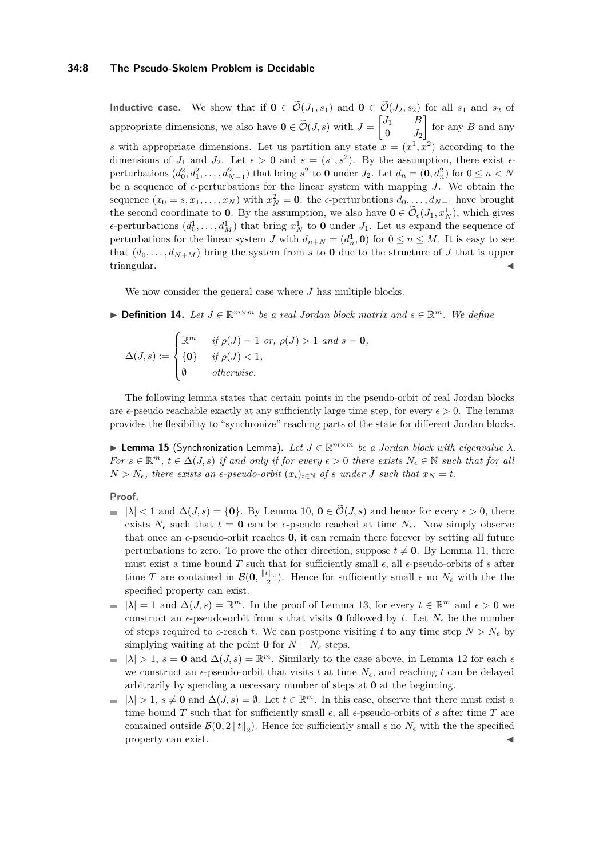### **34:8 The Pseudo-Skolem Problem is Decidable**

**Inductive case.** We show that if  $\mathbf{0} \in \widetilde{\mathcal{O}}(J_1, s_1)$  and  $\mathbf{0} \in \widetilde{\mathcal{O}}(J_2, s_2)$  for all  $s_1$  and  $s_2$  of appropriate dimensions, we also have  $\mathbf{0} \in \tilde{\mathcal{O}}(J, s)$  with  $J = \begin{bmatrix} J_1 & B \\ 0 & J_2 \end{bmatrix}$  $0$   $J_2$  for any *B* and any *s* with appropriate dimensions. Let us partition any state  $x = (x^1, x^2)$  according to the dimensions of  $J_1$  and  $J_2$ . Let  $\epsilon > 0$  and  $s = (s^1, s^2)$ . By the assumption, there exist  $\epsilon$ perturbations  $(d_0^2, d_1^2, \ldots, d_{N-1}^2)$  that bring  $s^2$  to **0** under  $J_2$ . Let  $d_n = (0, d_n^2)$  for  $0 \le n < N$ be a sequence of  $\epsilon$ -perturbations for the linear system with mapping *J*. We obtain the sequence  $(x_0 = s, x_1, \ldots, x_N)$  with  $x_N^2 = 0$ : the *∈*-perturbations  $d_0, \ldots, d_{N-1}$  have brought the second coordinate to **0**. By the assumption, we also have  $\mathbf{0} \in \mathcal{O}_{\epsilon}(J_1, x_N^1)$ , which gives  $\epsilon$ -perturbations  $(d_0^1, \ldots, d_M^1)$  that bring  $x_N^1$  to **0** under  $J_1$ . Let us expand the sequence of perturbations for the linear system *J* with  $d_{n+N} = (d_n^1, \mathbf{0})$  for  $0 \le n \le M$ . It is easy to see that  $(d_0, \ldots, d_{N+M})$  bring the system from *s* to **0** due to the structure of *J* that is upper triangular. **◀** 

We now consider the general case where *J* has multiple blocks.

▶ **Definition 14.** Let  $J \in \mathbb{R}^{m \times m}$  be a real Jordan block matrix and  $s \in \mathbb{R}^m$ . We define

$$
\Delta(J,s) := \begin{cases} \mathbb{R}^m & \text{if } \rho(J) = 1 \text{ or, } \rho(J) > 1 \text{ and } s = 0, \\ \{0\} & \text{if } \rho(J) < 1, \\ \emptyset & \text{otherwise.} \end{cases}
$$

The following lemma states that certain points in the pseudo-orbit of real Jordan blocks are  $\epsilon$ -pseudo reachable exactly at any sufficiently large time step, for every  $\epsilon > 0$ . The lemma provides the flexibility to "synchronize" reaching parts of the state for different Jordan blocks.

<span id="page-7-0"></span>▶ **Lemma 15** (Synchronization Lemma). Let  $J \in \mathbb{R}^{m \times m}$  be a Jordan block with eigenvalue  $\lambda$ *. For*  $s \in \mathbb{R}^m$ ,  $t \in \Delta(J, s)$  *if and only if for every*  $\epsilon > 0$  *there exists*  $N_{\epsilon} \in \mathbb{N}$  *such that for all*  $N > N_{\epsilon}$ , there exists an  $\epsilon$ -pseudo-orbit  $(x_i)_{i \in \mathbb{N}}$  of *s* under *J* such that  $x_N = t$ .

### **Proof.**

- $| \lambda |$  < 1 and  $\Delta(J, s) = \{0\}$ . By Lemma [10,](#page-5-1)  $0 \in \widetilde{\mathcal{O}}(J, s)$  and hence for every  $\epsilon > 0$ , there exists  $N_{\epsilon}$  such that  $t = 0$  can be  $\epsilon$ -pseudo reached at time  $N_{\epsilon}$ . Now simply observe that once an  $\epsilon$ -pseudo-orbit reaches **0**, it can remain there forever by setting all future perturbations to zero. To prove the other direction, suppose  $t \neq 0$ . By Lemma [11,](#page-6-0) there must exist a time bound *T* such that for sufficiently small  $\epsilon$ , all  $\epsilon$ -pseudo-orbits of *s* after time *T* are contained in  $\mathcal{B}(\mathbf{0}, \frac{\|\boldsymbol{t}\|_2}{2})$ . Hence for sufficiently small  $\epsilon$  no  $N_{\epsilon}$  with the the specified property can exist.
- $|\lambda| = 1$  and  $\Delta(J, s) = \mathbb{R}^m$ . In the proof of Lemma [13,](#page-6-1) for every  $t \in \mathbb{R}^m$  and  $\epsilon > 0$  we construct an  $\epsilon$ -pseudo-orbit from *s* that visits **0** followed by *t*. Let  $N_{\epsilon}$  be the number of steps required to  $\epsilon$ -reach *t*. We can postpone visiting *t* to any time step  $N > N_{\epsilon}$  by simplying waiting at the point **0** for  $N - N_{\epsilon}$  steps.
- $|\lambda| > 1$ ,  $s = 0$  and  $\Delta(J, s) = \mathbb{R}^m$ . Similarly to the case above, in Lemma [12](#page-6-2) for each  $\epsilon$ we construct an  $\epsilon$ -pseudo-orbit that visits *t* at time  $N_{\epsilon}$ , and reaching *t* can be delayed arbitrarily by spending a necessary number of steps at **0** at the beginning.
- $|\lambda| > 1$ ,  $s \neq \mathbf{0}$  and  $\Delta(J, s) = \emptyset$ . Let  $t \in \mathbb{R}^m$ . In this case, observe that there must exist a  $\blacksquare$ time bound *T* such that for sufficiently small  $\epsilon$ , all  $\epsilon$ -pseudo-orbits of *s* after time *T* are contained outside  $\mathcal{B}(0, 2 \|t\|_2)$ . Hence for sufficiently small  $\epsilon$  no  $N_{\epsilon}$  with the the specified property can exist.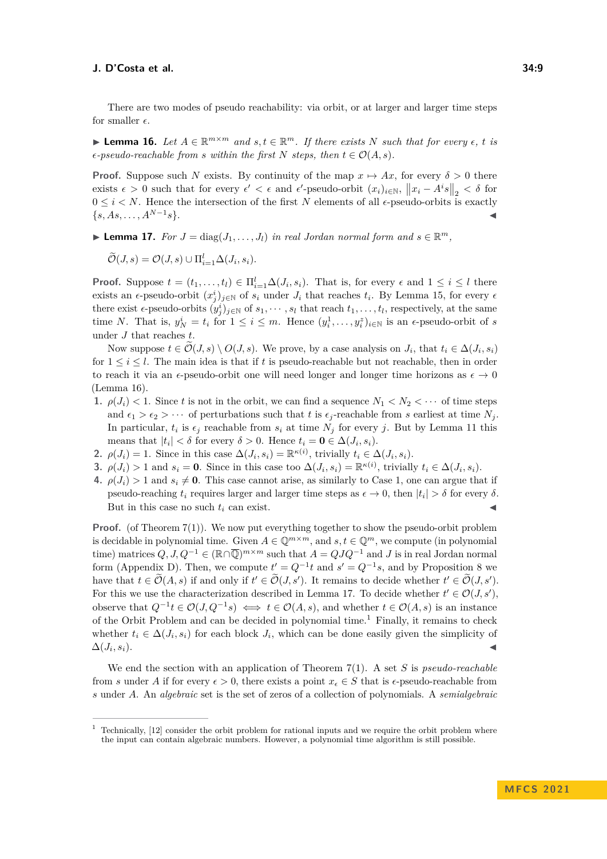There are two modes of pseudo reachability: via orbit, or at larger and larger time steps for smaller  $\epsilon$ .

<span id="page-8-0"></span>▶ **Lemma 16.** Let  $A \in \mathbb{R}^{m \times m}$  and  $s, t \in \mathbb{R}^m$ . If there exists  $N$  such that for every  $\epsilon$ ,  $t$  is  $\epsilon$ -pseudo-reachable from *s* within the first *N* steps, then  $t \in \mathcal{O}(A, s)$ .

**Proof.** Suppose such *N* exists. By continuity of the map  $x \mapsto Ax$ , for every  $\delta > 0$  there exists  $\epsilon > 0$  such that for every  $\epsilon' < \epsilon$  and  $\epsilon'$ -pseudo-orbit  $(x_i)_{i \in \mathbb{N}}$ ,  $||x_i - A^i s||_2 < \delta$  for  $0 \leq i \leq N$ . Hence the intersection of the first N elements of all  $\epsilon$ -pseudo-orbits is exactly  $\{s, As, \ldots, A^{N-1}s\}.$  $s$ }.

<span id="page-8-1"></span>▶ **Lemma 17.** *For*  $J = \text{diag}(J_1, \ldots, J_l)$  *in real Jordan normal form and*  $s \in \mathbb{R}^m$ *,* 

 $\widetilde{\mathcal{O}}(J,s) = \mathcal{O}(J,s) \cup \prod_{i=1}^l \Delta(J_i,s_i).$ 

**Proof.** Suppose  $t = (t_1, \ldots, t_l) \in \prod_{i=1}^l \Delta(J_i, s_i)$ . That is, for every  $\epsilon$  and  $1 \leq i \leq l$  there exists an  $\epsilon$ -pseudo-orbit  $(x_j^i)_{j\in\mathbb{N}}$  of  $s_i$  under  $J_i$  that reaches  $t_i$ . By Lemma [15,](#page-7-0) for every  $\epsilon$ there exist  $\epsilon$ -pseudo-orbits  $(y_j^i)_{j \in \mathbb{N}}$  of  $s_1, \dots, s_l$  that reach  $t_1, \dots, t_l$ , respectively, at the same time *N*. That is,  $y_N^i = t_i$  for  $1 \leq i \leq m$ . Hence  $(y_i^1, \ldots, y_i^z)_{i \in \mathbb{N}}$  is an  $\epsilon$ -pseudo-orbit of *s* under *J* that reaches *t*.

Now suppose  $t \in \mathcal{O}(J, s) \setminus O(J, s)$ . We prove, by a case analysis on  $J_i$ , that  $t_i \in \Delta(J_i, s_i)$ for  $1 \leq i \leq l$ . The main idea is that if t is pseudo-reachable but not reachable, then in order to reach it via an  $\epsilon$ -pseudo-orbit one will need longer and longer time horizons as  $\epsilon \to 0$ (Lemma [16\)](#page-8-0).

- **1.**  $\rho(J_i) < 1$ . Since *t* is not in the orbit, we can find a sequence  $N_1 < N_2 < \cdots$  of time steps and  $\epsilon_1 > \epsilon_2 > \cdots$  of perturbations such that *t* is  $\epsilon_j$ -reachable from *s* earliest at time  $N_j$ . In particular,  $t_i$  is  $\epsilon_j$  reachable from  $s_i$  at time  $N_j$  for every *j*. But by Lemma [11](#page-6-0) this means that  $|t_i| < \delta$  for every  $\delta > 0$ . Hence  $t_i = \mathbf{0} \in \Delta(J_i, s_i)$ .
- **2.**  $\rho(J_i) = 1$ . Since in this case  $\Delta(J_i, s_i) = \mathbb{R}^{\kappa(i)}$ , trivially  $t_i \in \Delta(J_i, s_i)$ .
- **3.**  $\rho(J_i) > 1$  and  $s_i = 0$ . Since in this case too  $\Delta(J_i, s_i) = \mathbb{R}^{\kappa(i)}$ , trivially  $t_i \in \Delta(J_i, s_i)$ .
- **4.**  $\rho(J_i) > 1$  and  $s_i \neq \mathbf{0}$ . This case cannot arise, as similarly to Case 1, one can argue that if pseudo-reaching  $t_i$  requires larger and larger time steps as  $\epsilon \to 0$ , then  $|t_i| > \delta$  for every  $\delta$ . But in this case no such  $t_i$  can exist.

**Proof.** (of Theorem [7\(](#page-3-2)1)). We now put everything together to show the pseudo-orbit problem is decidable in polynomial time. Given  $A \in \mathbb{Q}^{m \times m}$ , and  $s, t \in \mathbb{Q}^m$ , we compute (in polynomial time) matrices  $Q, J, Q^{-1} \in (\mathbb{R} \cap \overline{\mathbb{Q}})^{m \times m}$  such that  $A = QJQ^{-1}$  and *J* is in real Jordan normal form (Appendix [D\)](#page-19-0). Then, we compute  $t' = Q^{-1}t$  and  $s' = Q^{-1}s$ , and by Proposition [8](#page-3-0) we have that  $t \in \tilde{\mathcal{O}}(A,s)$  if and only if  $t' \in \tilde{\mathcal{O}}(J,s')$ . It remains to decide whether  $t' \in \tilde{\mathcal{O}}(J,s')$ . For this we use the characterization described in Lemma [17.](#page-8-1) To decide whether  $t' \in \mathcal{O}(J, s')$ , observe that  $Q^{-1}t$  ∈  $\mathcal{O}(J,Q^{-1}s)$   $\iff$   $t \in \mathcal{O}(A,s)$ , and whether  $t \in \mathcal{O}(A,s)$  is an instance of the Orbit Problem and can be decided in polynomial time.<sup>[1](#page-8-2)</sup> Finally, it remains to check whether  $t_i \in \Delta(J_i, s_i)$  for each block  $J_i$ , which can be done easily given the simplicity of  $\Delta(J_i, s_i)$ .  $, s_i$ ).

We end the section with an application of Theorem [7\(](#page-3-2)1). A set *S* is *pseudo-reachable* from *s* under *A* if for every  $\epsilon > 0$ , there exists a point  $x_{\epsilon} \in S$  that is  $\epsilon$ -pseudo-reachable from *s* under *A*. An *algebraic* set is the set of zeros of a collection of polynomials. A *semialgebraic*

<span id="page-8-2"></span> $1$  Technically,  $[12]$  consider the orbit problem for rational inputs and we require the orbit problem where the input can contain algebraic numbers. However, a polynomial time algorithm is still possible.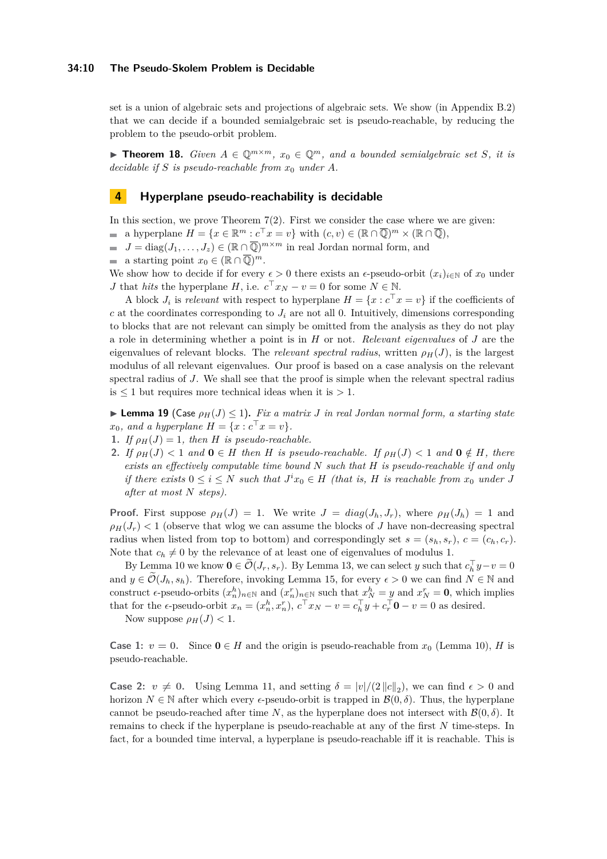### **34:10 The Pseudo-Skolem Problem is Decidable**

set is a union of algebraic sets and projections of algebraic sets. We show (in Appendix [B.2\)](#page-18-0) that we can decide if a bounded semialgebraic set is pseudo-reachable, by reducing the problem to the pseudo-orbit problem.

<span id="page-9-1"></span>▶ **Theorem 18.** *Given*  $A \in \mathbb{Q}^{m \times m}$ ,  $x_0 \in \mathbb{Q}^m$ , and a bounded semialgebraic set *S*, it is *decidable if S is pseudo-reachable from x*<sup>0</sup> *under A.*

### **4 Hyperplane pseudo-reachability is decidable**

In this section, we prove Theorem  $7(2)$ . First we consider the case where we are given:

- a hyperplane  $H = \{x \in \mathbb{R}^m : c^\top x = v\}$  with  $(c, v) \in (\mathbb{R} \cap \overline{\mathbb{Q}})^m \times (\mathbb{R} \cap \overline{\mathbb{Q}})$ ,
- $J = \text{diag}(J_1, \ldots, J_z) \in (\mathbb{R} \cap \overline{\mathbb{Q}})^{m \times m}$  in real Jordan normal form, and
- a starting point  $x_0 \in (\mathbb{R} \cap \overline{\mathbb{Q}})^m$ .

We show how to decide if for every  $\epsilon > 0$  there exists an  $\epsilon$ -pseudo-orbit  $(x_i)_{i \in \mathbb{N}}$  of  $x_0$  under *J* that *hits* the hyperplane *H*, i.e.  $c^{\top} x_N - v = 0$  for some  $N \in \mathbb{N}$ .

A block  $J_i$  is *relevant* with respect to hyperplane  $H = \{x : c^\top x = v\}$  if the coefficients of  $c$  at the coordinates corresponding to  $J_i$  are not all 0. Intuitively, dimensions corresponding to blocks that are not relevant can simply be omitted from the analysis as they do not play a role in determining whether a point is in *H* or not. *Relevant eigenvalues* of *J* are the eigenvalues of relevant blocks. The *relevant spectral radius*, written  $\rho_H(J)$ , is the largest modulus of all relevant eigenvalues. Our proof is based on a case analysis on the relevant spectral radius of *J*. We shall see that the proof is simple when the relevant spectral radius is  $\leq 1$  but requires more technical ideas when it is  $> 1$ .

<span id="page-9-0"></span> $\blacktriangleright$  **Lemma 19** (Case  $\rho_H(J) \leq 1$ ). Fix a matrix *J* in real Jordan normal form, a starting state  $x_0$ *, and a hyperplane*  $H = \{x : c^\top x = v\}.$ 

- **1.** *If*  $\rho_H(J) = 1$ *, then H is pseudo-reachable.*
- 2. If  $\rho_H(J) < 1$  and  $0 \in H$  then H is pseudo-reachable. If  $\rho_H(J) < 1$  and  $0 \notin H$ , there *exists an effectively computable time bound N such that H is pseudo-reachable if and only if there exists*  $0 \leq i \leq N$  *such that*  $J^i x_0 \in H$  *(that is, H is reachable from*  $x_0$  *under J after at most N steps).*

**Proof.** First suppose  $\rho_H(J) = 1$ . We write  $J = diag(J_h, J_r)$ , where  $\rho_H(J_h) = 1$  and  $\rho$ <sup>*H*</sup>(*J*<sup>*r*</sup>)  $\lt$  1 (observe that wlog we can assume the blocks of *J* have non-decreasing spectral radius when listed from top to bottom) and correspondingly set  $s = (s_h, s_r)$ ,  $c = (c_h, c_r)$ . Note that  $c_h \neq 0$  by the relevance of at least one of eigenvalues of modulus 1.

By Lemma [10](#page-5-1) we know  $\mathbf{0} \in \widetilde{\mathcal{O}}(J_r, s_r)$ . By Lemma [13,](#page-6-1) we can select *y* such that  $c_h^{\top} y - v = 0$ and  $y \in \widetilde{\mathcal{O}}(J_h, s_h)$ . Therefore, invoking Lemma [15,](#page-7-0) for every  $\epsilon > 0$  we can find  $N \in \mathbb{N}$  and construct  $\epsilon$ -pseudo-orbits  $(x_n^h)_{n \in \mathbb{N}}$  and  $(x_n^r)_{n \in \mathbb{N}}$  such that  $x_N^h = y$  and  $x_N^r = 0$ , which implies that for the  $\epsilon$ -pseudo-orbit  $x_n = (x_n^h, x_n^r), c^\top x_N - v = c_h^\top y + c_r^\top \mathbf{0} - v = 0$  as desired.

Now suppose  $\rho_H(J) < 1$ .

**Case 1:**  $v = 0$ . Since  $0 \in H$  and the origin is pseudo-reachable from  $x_0$  (Lemma [10\)](#page-5-1), *H* is pseudo-reachable.

**Case 2:**  $v \neq 0$ . Using Lemma [11,](#page-6-0) and setting  $\delta = |v|/(2 ||c||_2)$ , we can find  $\epsilon > 0$  and horizon  $N \in \mathbb{N}$  after which every  $\epsilon$ -pseudo-orbit is trapped in  $\mathcal{B}(0, \delta)$ . Thus, the hyperplane cannot be pseudo-reached after time *N*, as the hyperplane does not intersect with  $\mathcal{B}(0,\delta)$ . It remains to check if the hyperplane is pseudo-reachable at any of the first *N* time-steps. In fact, for a bounded time interval, a hyperplane is pseudo-reachable iff it is reachable. This is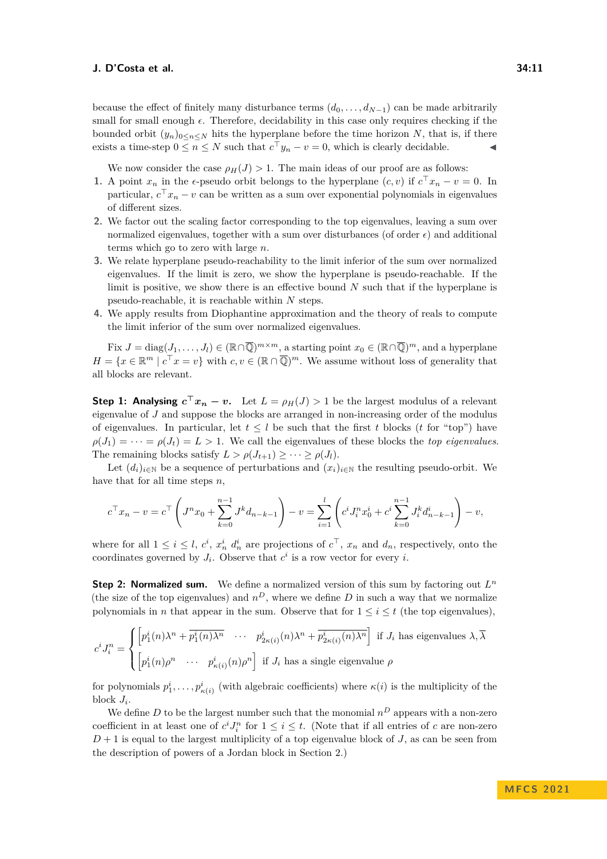because the effect of finitely many disturbance terms  $(d_0, \ldots, d_{N-1})$  can be made arbitrarily small for small enough  $\epsilon$ . Therefore, decidability in this case only requires checking if the bounded orbit  $(y_n)_{0 \leq n \leq N}$  hits the hyperplane before the time horizon *N*, that is, if there exists a time-step  $0 \le n \le N$  such that  $c^{\top}y_n - v = 0$ , which is clearly decidable.

We now consider the case  $\rho_H(J) > 1$ . The main ideas of our proof are as follows:

- **1.** A point  $x_n$  in the  $\epsilon$ -pseudo orbit belongs to the hyperplane  $(c, v)$  if  $c^{\top}x_n v = 0$ . In particular,  $c^{\top} x_n - v$  can be written as a sum over exponential polynomials in eigenvalues of different sizes.
- **2.** We factor out the scaling factor corresponding to the top eigenvalues, leaving a sum over normalized eigenvalues, together with a sum over disturbances (of order  $\epsilon$ ) and additional terms which go to zero with large *n*.
- **3.** We relate hyperplane pseudo-reachability to the limit inferior of the sum over normalized eigenvalues. If the limit is zero, we show the hyperplane is pseudo-reachable. If the limit is positive, we show there is an effective bound *N* such that if the hyperplane is pseudo-reachable, it is reachable within *N* steps.
- **4.** We apply results from Diophantine approximation and the theory of reals to compute the limit inferior of the sum over normalized eigenvalues.

 $\text{Fix } J = \text{diag}(J_1, \ldots, J_l) \in (\mathbb{R} \cap \overline{\mathbb{Q}})^{m \times m}$ , a starting point  $x_0 \in (\mathbb{R} \cap \overline{\mathbb{Q}})^m$ , and a hyperplane  $H = \{x \in \mathbb{R}^m \mid c^\top x = v\}$  with  $c, v \in (\mathbb{R} \cap \overline{\mathbb{Q}})^m$ . We assume without loss of generality that all blocks are relevant.

**Step 1:** Analysing  $c^{\top}x_n - v$ . Let  $L = \rho_H(J) > 1$  be the largest modulus of a relevant eigenvalue of *J* and suppose the blocks are arranged in non-increasing order of the modulus of eigenvalues. In particular, let  $t \leq l$  be such that the first *t* blocks (*t* for "top") have  $\rho(J_1) = \cdots = \rho(J_t) = L > 1$ . We call the eigenvalues of these blocks the *top eigenvalues*. The remaining blocks satisfy  $L > \rho(J_{t+1}) > \cdots > \rho(J_l)$ .

Let  $(d_i)_{i\in\mathbb{N}}$  be a sequence of perturbations and  $(x_i)_{i\in\mathbb{N}}$  the resulting pseudo-orbit. We have that for all time steps *n*,

$$
c^{\top}x_n - v = c^{\top} \left( J^n x_0 + \sum_{k=0}^{n-1} J^k d_{n-k-1} \right) - v = \sum_{i=1}^l \left( c^i J^n_i x_0^i + c^i \sum_{k=0}^{n-1} J^k_i d_{n-k-1}^i \right) - v,
$$

where for all  $1 \leq i \leq l$ ,  $c^i$ ,  $x_n^i$   $d_n^i$  are projections of  $c^{\top}$ ,  $x_n$  and  $d_n$ , respectively, onto the coordinates governed by  $J_i$ . Observe that  $c^i$  is a row vector for every *i*.

**Step 2: Normalized sum.** We define a normalized version of this sum by factoring out *L n* (the size of the top eigenvalues) and  $n^D$ , where we define *D* in such a way that we normalize polynomials in *n* that appear in the sum. Observe that for  $1 \leq i \leq t$  (the top eigenvalues),

$$
c^{i} J_{i}^{n} = \begin{cases} \left[ p_{1}^{i}(n) \lambda^{n} + \overline{p_{1}^{i}(n) \lambda^{n}} \quad \cdots \quad p_{2\kappa(i)}^{i}(n) \lambda^{n} + \overline{p_{2\kappa(i)}^{i}(n) \lambda^{n}} \right] \text{ if } J_{i} \text{ has eigenvalues } \lambda, \overline{\lambda} \\ \left[ p_{1}^{i}(n) \rho^{n} \quad \cdots \quad p_{\kappa(i)}^{i}(n) \rho^{n} \right] \text{ if } J_{i} \text{ has a single eigenvalue } \rho \end{cases}
$$

for polynomials  $p_1^i, \ldots, p_{\kappa(i)}^i$  (with algebraic coefficients) where  $\kappa(i)$  is the multiplicity of the block  $J_i$ .

We define *D* to be the largest number such that the monomial  $n^D$  appears with a non-zero coefficient in at least one of  $c^i J_i^n$  for  $1 \leq i \leq t$ . (Note that if all entries of *c* are non-zero  $D+1$  is equal to the largest multiplicity of a top eigenvalue block of *J*, as can be seen from the description of powers of a Jordan block in Section [2.](#page-2-0))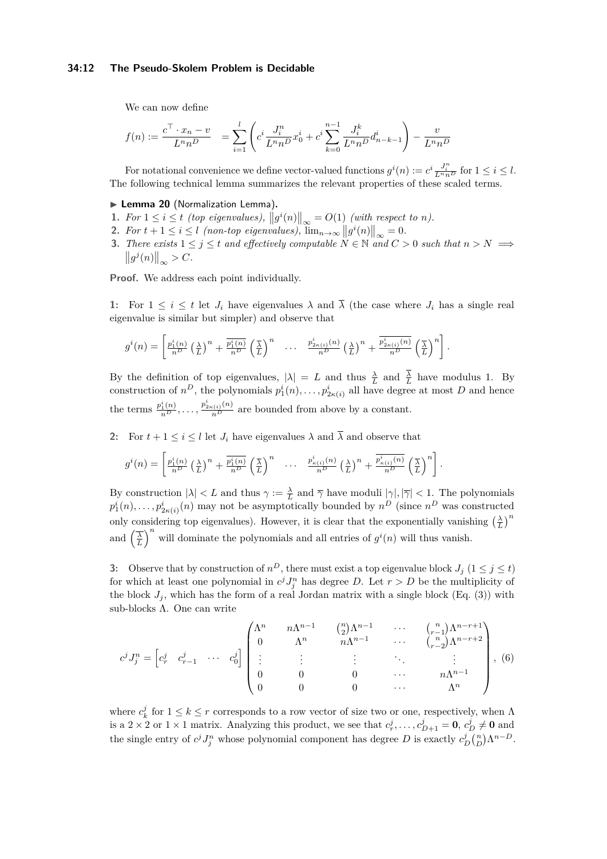### **34:12 The Pseudo-Skolem Problem is Decidable**

We can now define

$$
f(n) := \frac{c^{\top} \cdot x_n - v}{L^n n^D} = \sum_{i=1}^l \left( c^i \frac{J_i^n}{L^n n^D} x_0^i + c^i \sum_{k=0}^{n-1} \frac{J_i^k}{L^n n^D} d_{n-k-1}^i \right) - \frac{v}{L^n n^D}
$$

For notational convenience we define vector-valued functions  $g^i(n) := c^i \frac{J_i^n}{L^n n^D}$  for  $1 \le i \le l$ . The following technical lemma summarizes the relevant properties of these scaled terms.

#### ▶ **Lemma 20** (Normalization Lemma)**.**

- <span id="page-11-1"></span>1. For  $1 \leq i \leq t$  (top eigenvalues),  $||g^{i}(n)||_{\infty} = O(1)$  (with respect to *n*).
- 2. For  $t + 1 \leq i \leq l$  (non-top eigenvalues),  $\lim_{n\to\infty} ||g^{i}(n)||_{\infty} = 0$ .
- <span id="page-11-0"></span>**3.** There exists  $1 \leq j \leq t$  and effectively computable  $N \in \mathbb{N}$  and  $C > 0$  such that  $n > N \implies$  $||g^{j}(n)||_{\infty} > C.$

**Proof.** We address each point individually.

**1:** For  $1 \leq i \leq t$  let  $J_i$  have eigenvalues  $\lambda$  and  $\overline{\lambda}$  (the case where  $J_i$  has a single real eigenvalue is similar but simpler) and observe that

$$
g^{i}(n) = \left[\frac{p_1^{i}(n)}{n^{D}}\left(\frac{\lambda}{L}\right)^{n} + \frac{\overline{p_1^{i}(n)}}{n^{D}}\left(\frac{\overline{\lambda}}{L}\right)^{n} \quad \cdots \quad \frac{p_{2\kappa(i)}^{i}(n)}{n^{D}}\left(\frac{\lambda}{L}\right)^{n} + \frac{\overline{p_{2\kappa(i)}^{i}(n)}}{n^{D}}\left(\frac{\overline{\lambda}}{L}\right)^{n}\right].
$$

By the definition of top eigenvalues,  $|\lambda| = L$  and thus  $\frac{\lambda}{L}$  and  $\frac{\lambda}{L}$  have modulus 1. By construction of  $n^D$ , the polynomials  $p_1^i(n), \ldots, p_{2\kappa(i)}^i$  all have degree at most *D* and hence the terms  $\frac{p_1^i(n)}{n^D}, \ldots, \frac{p_{2\kappa(i)}^i(n)}{n^D}$  are bounded from above by a constant.

**2:** For  $t + 1 \leq i \leq l$  let  $J_i$  have eigenvalues  $\lambda$  and  $\overline{\lambda}$  and observe that

$$
g^{i}(n) = \left[\frac{p_1^{i}(n)}{n^{D}}\left(\frac{\lambda}{L}\right)^{n} + \frac{\overline{p_1^{i}(n)}}{n^{D}}\left(\frac{\overline{\lambda}}{L}\right)^{n} \quad \cdots \quad \frac{p_{\kappa(i)}^{i}(n)}{n^{D}}\left(\frac{\lambda}{L}\right)^{n} + \frac{\overline{p_{\kappa(i)}^{i}(n)}}{n^{D}}\left(\frac{\overline{\lambda}}{L}\right)^{n}\right].
$$

By construction  $|\lambda| < L$  and thus  $\gamma := \frac{\lambda}{L}$  and  $\overline{\gamma}$  have moduli  $|\gamma|, |\overline{\gamma}| < 1$ . The polynomials  $p_1^i(n), \ldots, p_{2\kappa(i)}^i(n)$  may not be asymptotically bounded by  $n^D$  (since  $n^D$  was constructed only considering top eigenvalues). However, it is clear that the exponentially vanishing  $\left(\frac{\lambda}{L}\right)^n$ and  $\left(\frac{\overline{\lambda}}{L}\right)^n$  will dominate the polynomials and all entries of  $g^i(n)$  will thus vanish.

**3:** Observe that by construction of  $n^D$ , there must exist a top eigenvalue block  $J_j$  ( $1 \leq j \leq t$ ) for which at least one polynomial in  $c^j J_j^n$  has degree *D*. Let  $r > D$  be the multiplicity of the block  $J_i$ , which has the form of a real Jordan matrix with a single block (Eq. [\(3\)](#page-4-1)) with sub-blocks Λ. One can write

$$
c^{j} J_{j}^{n} = \begin{bmatrix} c_{r}^{j} & c_{r-1}^{j} & \cdots & c_{0}^{j} \end{bmatrix} \begin{pmatrix} \Lambda^{n} & n\Lambda^{n-1} & \Lambda^{n} & \Lambda^{n} & \cdots & \Lambda^{n} & \Lambda^{n} & \Lambda^{n} & \Lambda^{n} & \cdots & \Lambda^{n} & \Lambda^{n} & \cdots & \Lambda^{n} & \Lambda^{n} & \cdots & \Lambda^{n} & \Lambda^{n} & \cdots & \Lambda^{n} & \Lambda^{n} & \cdots & \Lambda^{n} & \Lambda^{n} & \cdots & \Lambda^{n} & \Lambda^{n} & \Lambda^{n} & \Lambda^{n} & \Lambda^{n} & \Lambda^{n} & \Lambda^{n} & \Lambda^{n} & \Lambda^{n} & \Lambda^{n} & \Lambda^{n} & \Lambda^{n} & \Lambda^{n} & \Lambda^{n} & \Lambda^{n} & \Lambda^{n} & \Lambda^{n} & \Lambda^{n} & \Lambda^{n} & \Lambda^{n} & \Lambda^{n} & \Lambda^{n} & \Lambda^{n} & \Lambda^{n} & \Lambda^{n} & \Lambda^{n} & \Lambda^{n} & \Lambda^{n} & \Lambda^{n} & \Lambda^{n} & \Lambda^{n} & \Lambda^{n} & \Lambda^{n} & \Lambda^{n} & \Lambda^{n} & \Lambda^{n} & \Lambda^{n} & \Lambda^{n} & \Lambda^{n} & \Lambda^{n} & \Lambda^{n} & \Lambda^{n} & \Lambda^{n} & \Lambda^{n} & \Lambda^{n} & \Lambda^{n} & \Lambda^{n} & \Lambda^{n} & \Lambda^{n} & \Lambda^{n} & \Lambda^{n} & \Lambda^{n} & \Lambda^{n} & \Lambda^{n} & \Lambda^{n} & \Lambda^{n} & \Lambda^{n} & \Lambda^{n} & \Lambda^{n} & \Lambda^{n} & \Lambda^{n} & \Lambda^{n} & \Lambda^{n} & \Lambda^{n} & \Lambda^{n} & \Lambda^{n} & \Lambda^{n} & \Lambda^{n} & \Lambda^{n} & \Lambda^{n} & \Lambda^{n} & \Lambda^{n} & \Lambda^{n} & \Lambda^{n} & \Lambda^{n} & \Lambda^{n} & \Lambda^{n} & \Lambda^{n} & \Lambda^{n} & \Lambda^{n} & \Lambda^{n} & \Lambda^{n} & \Lambda^{n} & \Lambda^{n} & \Lambda^{n} & \Lambda^{n} & \Lambda^{n} & \Lambda^{n} & \Lambda^{n} & \Lambda^{n} & \Lambda^{n} & \Lambda^{n} & \Lambda^{n} & \Lambda^{
$$

where  $c_k^j$  for  $1 \leq k \leq r$  corresponds to a row vector of size two or one, respectively, when  $\Lambda$ is a  $2 \times 2$  or  $1 \times 1$  matrix. Analyzing this product, we see that  $c_p^j, \ldots, c_{D+1}^j = \mathbf{0}, c_D^j \neq \mathbf{0}$  and the single entry of  $c^j J_j^n$  whose polynomial component has degree *D* is exactly  $c_D^j {n \choose D} \Lambda^{n-D}$ .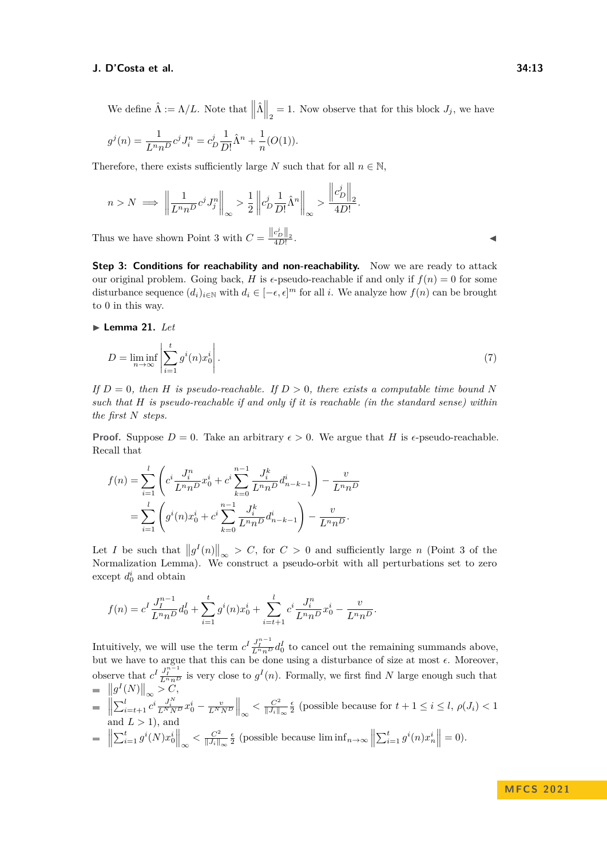We define  $\hat{\Lambda} := \Lambda/L$ . Note that  $\left\| \hat{\Lambda} \right\|_2 = 1$ . Now observe that for this block  $J_j$ , we have

$$
g^{j}(n) = \frac{1}{L^{n}n^{D}} c^{j} J_{i}^{n} = c_{D}^{j} \frac{1}{D!} \hat{\Lambda}^{n} + \frac{1}{n} (O(1)).
$$

Therefore, there exists sufficiently large *N* such that for all  $n \in \mathbb{N}$ ,

$$
n > N \implies \left\| \frac{1}{L^n n^D} c^j J_j^n \right\|_{\infty} > \frac{1}{2} \left\| c_D^j \frac{1}{D!} \hat{\Lambda}^n \right\|_{\infty} > \frac{\left\| c_D^j \right\|_2}{4D!}.
$$

Thus we have shown Point [3](#page-11-0) with  $C = \frac{\left\|c_p^i\right\|_2}{4D!}$ 

**Step 3: Conditions for reachability and non-reachability.** Now we are ready to attack our original problem. Going back, *H* is  $\epsilon$ -pseudo-reachable if and only if  $f(n) = 0$  for some disturbance sequence  $(d_i)_{i \in \mathbb{N}}$  with  $d_i \in [-\epsilon, \epsilon]^m$  for all *i*. We analyze how  $f(n)$  can be brought to 0 in this way.

. ↓ ↓ ↓ ↓ ↓ ↓ ↓ ↓ ↓ ↓ ↓ ↓ ↓ ↓ ↓ ↓ ↓

### <span id="page-12-0"></span>▶ **Lemma 21.** *Let*

$$
D = \liminf_{n \to \infty} \left| \sum_{i=1}^{t} g^i(n) x_0^i \right|.
$$
 (7)

*If*  $D = 0$ *, then H is pseudo-reachable. If*  $D > 0$ *, there exists a computable time bound* N *such that H is pseudo-reachable if and only if it is reachable (in the standard sense) within the first N steps.*

**Proof.** Suppose  $D = 0$ . Take an arbitrary  $\epsilon > 0$ . We argue that *H* is  $\epsilon$ -pseudo-reachable. Recall that

$$
f(n) = \sum_{i=1}^{l} \left( c^i \frac{J_i^n}{L^n n^D} x_0^i + c^i \sum_{k=0}^{n-1} \frac{J_i^k}{L^n n^D} d_{n-k-1}^i \right) - \frac{v}{L^n n^D}
$$
  
= 
$$
\sum_{i=1}^{l} \left( g^i(n) x_0^i + c^i \sum_{k=0}^{n-1} \frac{J_i^k}{L^n n^D} d_{n-k-1}^i \right) - \frac{v}{L^n n^D}.
$$

Let *I* be such that  $||g^I(n)||_{\infty} > C$ , for  $C > 0$  and sufficiently large *n* (Point 3 of the Normalization Lemma). We construct a pseudo-orbit with all perturbations set to zero except  $d_0^i$  and obtain

$$
f(n) = c^I \frac{J_I^{n-1}}{L^n n^D} d_0^I + \sum_{i=1}^t g^i(n) x_0^i + \sum_{i=t+1}^l c^i \frac{J_i^n}{L^n n^D} x_0^i - \frac{v}{L^n n^D}.
$$

Intuitively, we will use the term  $c^I \frac{J_I^{n-1}}{L^n n^D} d_0^I$  to cancel out the remaining summands above, but we have to argue that this can be done using a disturbance of size at most *ϵ*. Moreover, observe that  $c^I \frac{J_I^{n-1}}{L^n n^D}$  is very close to  $g^I(n)$ . Formally, we first find *N* large enough such that  $\left\|g^I(N)\right\|_{\infty} > C,$ 

 $\left\| \sum_{i=t+1}^{l} c^{i} \frac{J_{i}^{N}}{L^{N} N^{D}} x_{0}^{i} - \frac{v}{L^{N} N^{D}} \right\|_{\infty} < \frac{C^{2}}{\|J_{i}\|}$  $\frac{C^2}{||J_i||_{\infty}} \frac{\epsilon}{2}$  (possible because for  $t + 1 \leq i \leq l$ ,  $\rho(J_i) < 1$ and  $L > 1$ , and

$$
\quad \ \ = \ \left\| \sum_{i=1}^t g^i(N) x_0^i \right\|_{\infty} < \frac{C^2}{\|J_i\|_{\infty}} \frac{\epsilon}{2} \text{ (possible because } \liminf_{n \to \infty} \left\| \sum_{i=1}^t g^i(n) x_n^i \right\| = 0\text{).}
$$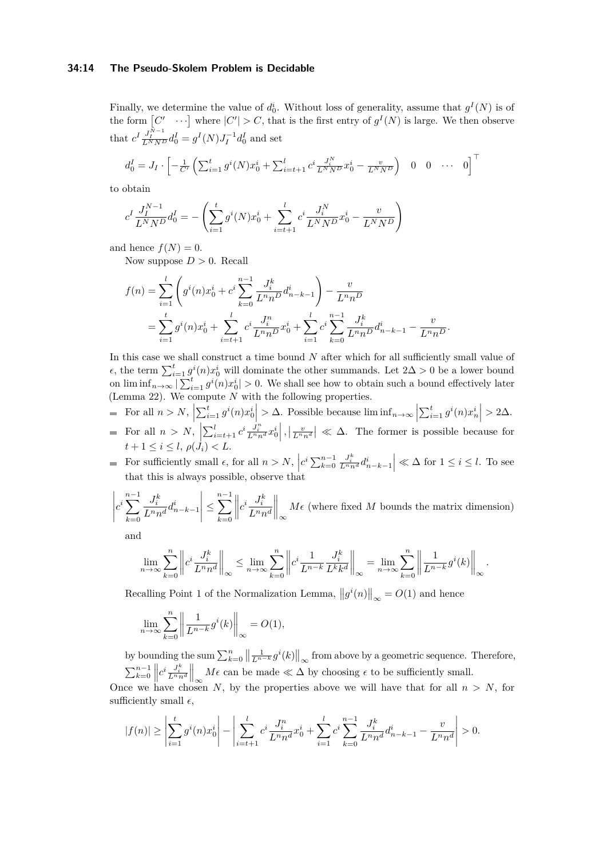### **34:14 The Pseudo-Skolem Problem is Decidable**

Finally, we determine the value of  $d_0^i$ . Without loss of generality, assume that  $g^I(N)$  is of the form  $[C' \cdots]$  where  $|C'| > C$ , that is the first entry of  $g^I(N)$  is large. We then observe that  $c^I \frac{J_I^{N-1}}{L^N N^D} d_0^I = g^I(N) J_I^{-1} d_0^I$  and set

$$
d_0^I = J_I \cdot \left[ -\frac{1}{C'} \left( \sum_{i=1}^t g^i(N) x_0^i + \sum_{i=t+1}^l c^i \frac{J_i^N}{L^N N^D} x_0^i - \frac{v}{L^N N^D} \right) \quad 0 \quad 0 \quad \cdots \quad 0 \right]^\top
$$

to obtain

$$
c^{I} \frac{J_{I}^{N-1}}{L^{N} N^{D}} d_{0}^{I} = -\left(\sum_{i=1}^{t} g^{i}(N) x_{0}^{i} + \sum_{i=t+1}^{l} c^{i} \frac{J_{i}^{N}}{L^{N} N^{D}} x_{0}^{i} - \frac{v}{L^{N} N^{D}}\right)
$$

and hence  $f(N) = 0$ .

Now suppose  $D > 0$ . Recall

$$
f(n) = \sum_{i=1}^{l} \left( g^{i}(n)x_{0}^{i} + c^{i} \sum_{k=0}^{n-1} \frac{J_{i}^{k}}{L^{n}n^{D}} d_{n-k-1}^{i} \right) - \frac{v}{L^{n}n^{D}}
$$
  
= 
$$
\sum_{i=1}^{l} g^{i}(n)x_{0}^{i} + \sum_{i=t+1}^{l} c^{i} \frac{J_{i}^{n}}{L^{n}n^{D}} x_{0}^{i} + \sum_{i=1}^{l} c^{i} \sum_{k=0}^{n-1} \frac{J_{i}^{k}}{L^{n}n^{D}} d_{n-k-1}^{i} - \frac{v}{L^{n}n^{D}}.
$$

In this case we shall construct a time bound *N* after which for all sufficiently small value of  $\epsilon$ , the term  $\sum_{i=1}^{t} g^{i}(n)x_0^{i}$  will dominate the other summands. Let 2∆ > 0 be a lower bound on  $\liminf_{n\to\infty} |\sum_{i=1}^t g^i(n)x_0^i| > 0$ . We shall see how to obtain such a bound effectively later (Lemma [22\)](#page-14-0). We compute *N* with the following properties.

- For all  $n > N$ ,  $\left| \sum_{i=1}^{t} g^{i}(n)x_{0}^{i} \right| > \Delta$ . Possible because  $\liminf_{n \to \infty} \left| \sum_{i=1}^{t} g^{i}(n)x_{n}^{i} \right|$  $\left|\sum_{i=1}^t g^i(n)x_0^i\right| > \Delta$ . Possible because  $\liminf_{n\to\infty}\left|\sum_{i=1}^t g^i(n)x_n^i\right| > 2\Delta$ .
- For all  $n > N$ ,  $\left| \sum_{i=t+1}^{l} c^i \frac{J_i^n}{L^n n^d} x_0^i \right|, \left| \frac{v}{L^n n^d} \right| \ll \Delta$ . The former is possible because for  $t + 1 \leq i \leq l, \, \rho(J_i) < L.$
- For sufficiently small  $\epsilon$ , for all  $n > N$ ,  $c^i \sum_{k=0}^{n-1}$  $\left| \frac{J_i^k}{L^n n^d} d_{n-k-1}^i \right| \ll \Delta$  for  $1 \le i \le l$ . To see that this is always possible, observe that

$$
\left| c^i \sum_{k=0}^{n-1} \frac{J_i^k}{L^n n^d} d_{n-k-1}^i \right| \le \sum_{k=0}^{n-1} \left\| c^i \frac{J_i^k}{L^n n^d} \right\|_{\infty} M \epsilon \text{ (where fixed } M \text{ bounds the matrix dimension)}
$$

and

$$
\lim_{n \to \infty} \sum_{k=0}^{n} \left\| c^i \frac{J_i^k}{L^n n^d} \right\|_{\infty} \le \lim_{n \to \infty} \sum_{k=0}^{n} \left\| c^i \frac{1}{L^{n-k}} \frac{J_i^k}{L^k k^d} \right\|_{\infty} = \lim_{n \to \infty} \sum_{k=0}^{n} \left\| \frac{1}{L^{n-k}} g^i(k) \right\|_{\infty}.
$$

Recalling Point [1](#page-11-1) of the Normalization Lemma,  $||g^{i}(n)||_{\infty} = O(1)$  and hence

$$
\lim_{n \to \infty} \sum_{k=0}^{n} \left\| \frac{1}{L^{n-k}} g^{i}(k) \right\|_{\infty} = O(1),
$$

by bounding the sum  $\sum_{k=0}^{n} \left\| \frac{1}{L^{n-k}} g^{i}(k) \right\|_{\infty}$  from above by a geometric sequence. Therefore,  $\sum_{k=0}^{n-1} \left\| c^i \frac{J_i^k}{L^n n^d} \right\|_{\infty} M \epsilon$  can be made  $\ll \Delta$  by choosing  $\epsilon$  to be sufficiently small.

Once we have chosen *N*, by the properties above we will have that for all  $n > N$ , for sufficiently small  $\epsilon$ ,

$$
|f(n)| \ge \left| \sum_{i=1}^t g^i(n) x_0^i \right| - \left| \sum_{i=t+1}^l c^i \frac{J_i^n}{L^n n^d} x_0^i + \sum_{i=1}^l c^i \sum_{k=0}^{n-1} \frac{J_i^k}{L^n n^d} d_{n-k-1}^i - \frac{v}{L^n n^d} \right| > 0.
$$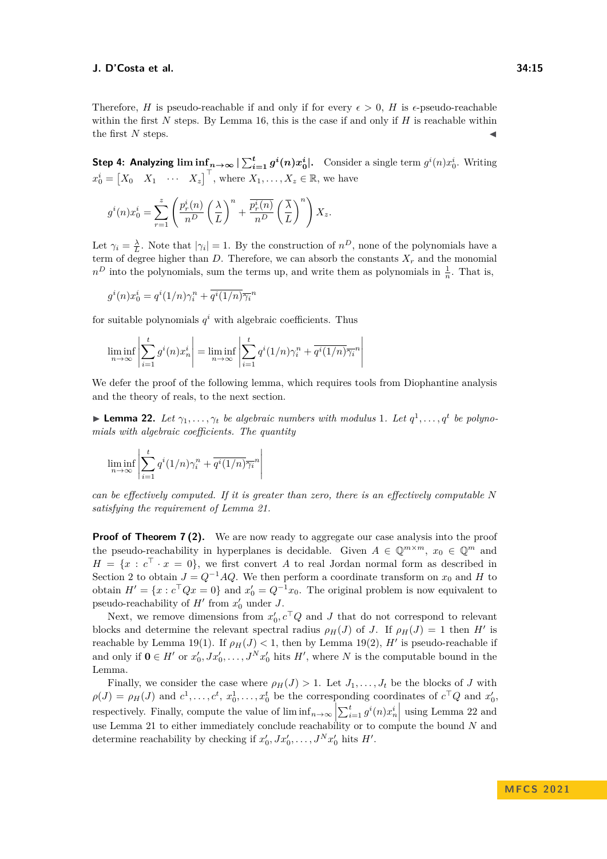Therefore, *H* is pseudo-reachable if and only if for every  $\epsilon > 0$ , *H* is  $\epsilon$ -pseudo-reachable within the first *N* steps. By Lemma [16,](#page-8-0) this is the case if and only if *H* is reachable within the first  $N$  steps.

Step 4: Analyzing  $\liminf_{n\to\infty} |\sum_{i=1}^t g^i(n)x_0^i|$ . Consider a single term  $g^i(n)x_0^i$ . Writing  $x_0^i = \begin{bmatrix} X_0 & X_1 & \cdots & X_z \end{bmatrix}^\top$ , where  $X_1, \ldots, X_z \in \mathbb{R}$ , we have

$$
g^{i}(n)x_0^{i} = \sum_{r=1}^{z} \left( \frac{p_r^{i}(n)}{n^D} \left( \frac{\lambda}{L} \right)^n + \frac{p_r^{i}(n)}{n^D} \left( \frac{\overline{\lambda}}{L} \right)^n \right) X_z.
$$

Let  $\gamma_i = \frac{\lambda}{L}$ . Note that  $|\gamma_i| = 1$ . By the construction of  $n^D$ , none of the polynomials have a term of degree higher than  $D$ . Therefore, we can absorb the constants  $X_r$  and the monomial  $n<sup>D</sup>$  into the polynomials, sum the terms up, and write them as polynomials in  $\frac{1}{n}$ . That is,

$$
g^{i}(n)x_{0}^{i} = q^{i}(1/n)\gamma_{i}^{n} + \overline{q^{i}(1/n)}\overline{\gamma_{i}}^{n}
$$

for suitable polynomials  $q^i$  with algebraic coefficients. Thus

$$
\liminf_{n \to \infty} \left| \sum_{i=1}^{t} g^{i}(n) x_{n}^{i} \right| = \liminf_{n \to \infty} \left| \sum_{i=1}^{t} q^{i}(1/n) \gamma_{i}^{n} + \overline{q^{i}(1/n)} \overline{\gamma_{i}}^{n} \right|
$$

We defer the proof of the following lemma, which requires tools from Diophantine analysis and the theory of reals, to the next section.

<span id="page-14-0"></span>**Example 22.** Let  $\gamma_1, \ldots, \gamma_t$  be algebraic numbers with modulus 1. Let  $q^1, \ldots, q^t$  be polyno*mials with algebraic coefficients. The quantity*

$$
\liminf_{n \to \infty} \left| \sum_{i=1}^t q^i (1/n) \gamma_i^n + \overline{q^i (1/n)} \overline{\gamma_i}^n \right|
$$

*can be effectively computed. If it is greater than zero, there is an effectively computable N satisfying the requirement of Lemma [21.](#page-12-0)*

**Proof of Theorem [7](#page-3-2)(2).** We are now ready to aggregate our case analysis into the proof the pseudo-reachability in hyperplanes is decidable. Given  $A \in \mathbb{Q}^{m \times m}$ ,  $x_0 \in \mathbb{Q}^m$  and  $H = \{x : c^\top \cdot x = 0\}$ , we first convert *A* to real Jordan normal form as described in Section [2](#page-2-0) to obtain  $J = Q^{-1}AQ$ . We then perform a coordinate transform on  $x_0$  and *H* to obtain  $H' = \{x : c^\top Q x = 0\}$  and  $x'_0 = Q^{-1} x_0$ . The original problem is now equivalent to pseudo-reachability of  $H'$  from  $x'_0$  under  $J$ .

Next, we remove dimensions from  $x'_{0}, c^{\top}Q$  and *J* that do not correspond to relevant blocks and determine the relevant spectral radius  $\rho_H(J)$  of *J*. If  $\rho_H(J) = 1$  then *H'* is reachable by Lemma [19\(](#page-9-0)1). If  $\rho_H(J) < 1$ , then by Lemma 19(2), H' is pseudo-reachable if and only if  $\mathbf{0} \in H'$  or  $x'_0, Jx'_0, \ldots, J^N x'_0$  hits  $H'$ , where *N* is the computable bound in the Lemma.

Finally, we consider the case where  $\rho_H(J) > 1$ . Let  $J_1, \ldots, J_t$  be the blocks of *J* with  $\rho(J) = \rho_H(J)$  and  $c^1, \ldots, c^t, x_0^1, \ldots, x_0^t$  be the corresponding coordinates of  $c^TQ$  and  $x_0'$ , respectively. Finally, compute the value of  $\liminf_{n\to\infty} \left|\sum_{i=1}^t g^i(n)x_n^i\right|$  using Lemma [22](#page-14-0) and use Lemma [21](#page-12-0) to either immediately conclude reachability or to compute the bound *N* and  $\sum_{i=1}^{\infty}$  and  $\sum_{i=1}^{\infty}$  and  $\sum_{i=1}^{\infty}$  and  $\sum_{i=1}^{\infty}$  and  $\sum_{i=1}^{\infty}$  and  $\sum_{i=1}^{\infty}$  and  $\sum_{i=1}^{\infty}$  and determine reachability by checking if  $x'_0, Jx'_0, \ldots, J^N x'_0$  hits  $H'$ .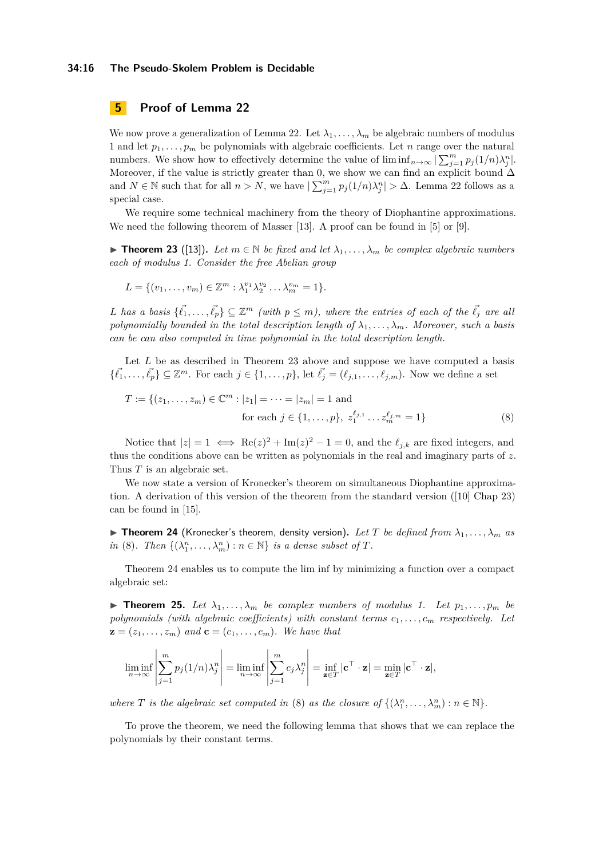### **34:16 The Pseudo-Skolem Problem is Decidable**

# **5 Proof of Lemma [22](#page-14-0)**

We now prove a generalization of Lemma [22.](#page-14-0) Let  $\lambda_1, \ldots, \lambda_m$  be algebraic numbers of modulus 1 and let  $p_1, \ldots, p_m$  be polynomials with algebraic coefficients. Let *n* range over the natural numbers. We show how to effectively determine the value of  $\liminf_{n\to\infty} |\sum_{j=1}^m p_j(1/n)\lambda_j^n|$ . Moreover, if the value is strictly greater than 0, we show we can find an explicit bound  $\Delta$ and  $N \in \mathbb{N}$  such that for all  $n > N$ , we have  $\left| \sum_{j=1}^{m} p_j(1/n)\lambda_j^n \right| > \Delta$ . Lemma [22](#page-14-0) follows as a special case.

We require some technical machinery from the theory of Diophantine approximations. We need the following theorem of Masser [\[13\]](#page-16-7). A proof can be found in [\[5\]](#page-16-8) or [\[9\]](#page-16-9).

<span id="page-15-0"></span>▶ **Theorem 23** ([\[13\]](#page-16-7)). Let  $m \in \mathbb{N}$  be fixed and let  $\lambda_1, \ldots, \lambda_m$  be complex algebraic numbers *each of modulus 1. Consider the free Abelian group*

$$
L = \{(v_1, \ldots, v_m) \in \mathbb{Z}^m : \lambda_1^{v_1} \lambda_2^{v_2} \ldots \lambda_m^{v_m} = 1\}.
$$

*L* has a basis  $\{\vec{\ell}_1, \ldots, \vec{\ell}_p\} \subseteq \mathbb{Z}^m$  (with  $p \leq m$ ), where the entries of each of the  $\vec{\ell}_j$  are all *polynomially bounded in the total description length of*  $\lambda_1, \ldots, \lambda_m$ *. Moreover, such a basis can be can also computed in time polynomial in the total description length.*

Let *L* be as described in Theorem [23](#page-15-0) above and suppose we have computed a basis  $\{\vec{\ell}_1, \ldots, \vec{\ell}_p\} \subseteq \mathbb{Z}^m$ . For each  $j \in \{1, \ldots, p\}$ , let  $\vec{\ell}_j = (\ell_{j,1}, \ldots, \ell_{j,m})$ . Now we define a set

<span id="page-15-1"></span>
$$
T := \{ (z_1, \dots, z_m) \in \mathbb{C}^m : |z_1| = \dots = |z_m| = 1 \text{ and}
$$
  
for each  $j \in \{1, \dots, p\}, z_1^{\ell_{j,1}} \dots z_m^{\ell_{j,m}} = 1 \}$  (8)

Notice that  $|z| = 1 \iff \text{Re}(z)^2 + \text{Im}(z)^2 - 1 = 0$ , and the  $\ell_{j,k}$  are fixed integers, and thus the conditions above can be written as polynomials in the real and imaginary parts of *z*. Thus *T* is an algebraic set.

We now state a version of Kronecker's theorem on simultaneous Diophantine approximation. A derivation of this version of the theorem from the standard version ([\[10\]](#page-16-10) Chap 23) can be found in [\[15\]](#page-17-6).

<span id="page-15-2"></span> $\triangleright$  **Theorem 24** (Kronecker's theorem, density version). Let T be defined from  $\lambda_1, \ldots, \lambda_m$  as *in* [\(8\)](#page-15-1)*. Then*  $\{(\lambda_1^n, \ldots, \lambda_m^n) : n \in \mathbb{N}\}\$  *is a dense subset of T.* 

Theorem [24](#page-15-2) enables us to compute the lim inf by minimizing a function over a compact algebraic set:

<span id="page-15-3"></span>**Find 15.** Let  $\lambda_1, \ldots, \lambda_m$  be complex numbers of modulus 1. Let  $p_1, \ldots, p_m$  be *polynomials (with algebraic coefficients) with constant terms*  $c_1, \ldots, c_m$  *respectively.* Let  $\mathbf{z} = (z_1, \ldots, z_m)$  and  $\mathbf{c} = (c_1, \ldots, c_m)$ . We have that

$$
\liminf_{n \to \infty} \left| \sum_{j=1}^m p_j(1/n) \lambda_j^n \right| = \liminf_{n \to \infty} \left| \sum_{j=1}^m c_j \lambda_j^n \right| = \inf_{\mathbf{z} \in T} |\mathbf{c}^\top \cdot \mathbf{z}| = \min_{\mathbf{z} \in T} |\mathbf{c}^\top \cdot \mathbf{z}|,
$$

*where T is the algebraic set computed in* [\(8\)](#page-15-1) *as the closure of*  $\{(\lambda_1^n, \ldots, \lambda_m^n) : n \in \mathbb{N}\}.$ 

<span id="page-15-4"></span>To prove the theorem, we need the following lemma that shows that we can replace the polynomials by their constant terms.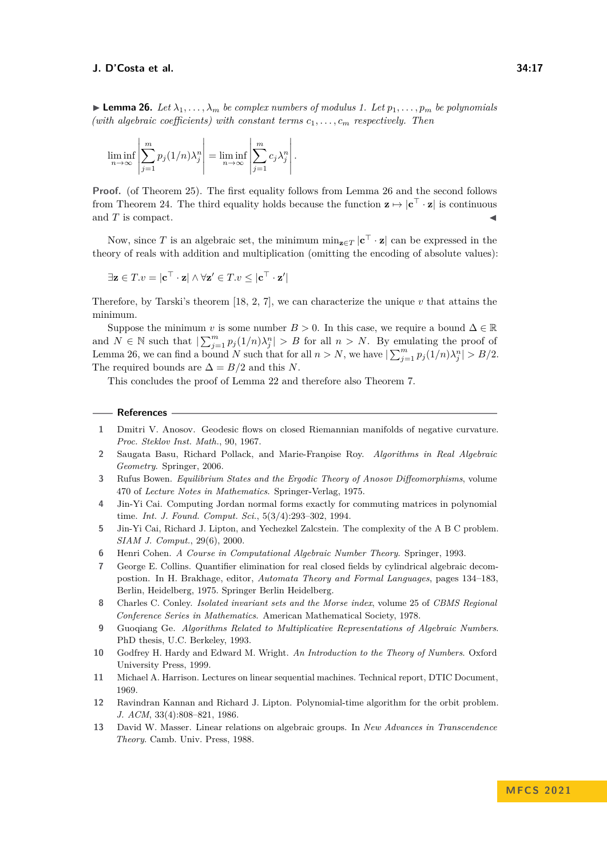**Lemma 26.** Let  $\lambda_1, \ldots, \lambda_m$  be complex numbers of modulus 1. Let  $p_1, \ldots, p_m$  be polynomials *(with algebraic coefficients) with constant terms*  $c_1, \ldots, c_m$  *respectively. Then* 

$$
\liminf_{n \to \infty} \left| \sum_{j=1}^m p_j(1/n) \lambda_j^n \right| = \liminf_{n \to \infty} \left| \sum_{j=1}^m c_j \lambda_j^n \right|.
$$

**Proof.** (of Theorem [25\)](#page-15-3). The first equality follows from Lemma [26](#page-15-4) and the second follows from Theorem [24.](#page-15-2) The third equality holds because the function  $z \mapsto |c^{\top} \cdot z|$  is continuous and  $T$  is compact.

Now, since *T* is an algebraic set, the minimum  $\min_{\mathbf{z} \in T} |\mathbf{c}^\top \cdot \mathbf{z}|$  can be expressed in the theory of reals with addition and multiplication (omitting the encoding of absolute values):

$$
\exists \mathbf{z} \in T.v = |\mathbf{c}^\top \cdot \mathbf{z}| \land \forall \mathbf{z}' \in T.v \leq |\mathbf{c}^\top \cdot \mathbf{z}'|
$$

Therefore, by Tarski's theorem [\[18,](#page-17-7) [2,](#page-16-11) [7\]](#page-16-12), we can characterize the unique  $v$  that attains the minimum.

Suppose the minimum *v* is some number  $B > 0$ . In this case, we require a bound  $\Delta \in \mathbb{R}$ and  $N \in \mathbb{N}$  such that  $\left| \sum_{j=1}^m p_j(1/n)\lambda_j^n \right| > B$  for all  $n > N$ . By emulating the proof of Lemma [26,](#page-15-4) we can find a bound *N* such that for all  $n > N$ , we have  $\sum_{j=1}^{m} p_j(1/n)\lambda_j^n > B/2$ . The required bounds are  $\Delta = B/2$  and this *N*.

This concludes the proof of Lemma [22](#page-14-0) and therefore also Theorem [7.](#page-3-2)

### **References**

- <span id="page-16-3"></span>**1** Dmitri V. Anosov. Geodesic flows on closed Riemannian manifolds of negative curvature. *Proc. Steklov Inst. Math.*, 90, 1967.
- <span id="page-16-11"></span>2 Saugata Basu, Richard Pollack, and Marie-Fran<sub>oise</sub> Roy. *Algorithms in Real Algebraic Geometry*. Springer, 2006.
- <span id="page-16-4"></span>**3** Rufus Bowen. *Equilibrium States and the Ergodic Theory of Anosov Diffeomorphisms*, volume 470 of *Lecture Notes in Mathematics*. Springer-Verlag, 1975.
- <span id="page-16-6"></span>**4** Jin-Yi Cai. Computing Jordan normal forms exactly for commuting matrices in polynomial time. *Int. J. Found. Comput. Sci.*, 5(3/4):293–302, 1994.
- <span id="page-16-8"></span>**5** Jin-Yi Cai, Richard J. Lipton, and Yechezkel Zalcstein. The complexity of the A B C problem. *SIAM J. Comput.*, 29(6), 2000.
- <span id="page-16-5"></span>**6** Henri Cohen. *A Course in Computational Algebraic Number Theory*. Springer, 1993.
- <span id="page-16-12"></span>**7** George E. Collins. Quantifier elimination for real closed fields by cylindrical algebraic decompostion. In H. Brakhage, editor, *Automata Theory and Formal Languages*, pages 134–183, Berlin, Heidelberg, 1975. Springer Berlin Heidelberg.
- <span id="page-16-2"></span>**8** Charles C. Conley. *Isolated invariant sets and the Morse index*, volume 25 of *CBMS Regional Conference Series in Mathematics*. American Mathematical Society, 1978.
- <span id="page-16-9"></span>**9** Guoqiang Ge. *Algorithms Related to Multiplicative Representations of Algebraic Numbers*. PhD thesis, U.C. Berkeley, 1993.
- <span id="page-16-10"></span>**10** Godfrey H. Hardy and Edward M. Wright. *An Introduction to the Theory of Numbers*. Oxford University Press, 1999.
- <span id="page-16-0"></span>**11** Michael A. Harrison. Lectures on linear sequential machines. Technical report, DTIC Document, 1969.
- <span id="page-16-1"></span>**12** Ravindran Kannan and Richard J. Lipton. Polynomial-time algorithm for the orbit problem. *J. ACM*, 33(4):808–821, 1986.
- <span id="page-16-7"></span>**13** David W. Masser. Linear relations on algebraic groups. In *New Advances in Transcendence Theory*. Camb. Univ. Press, 1988.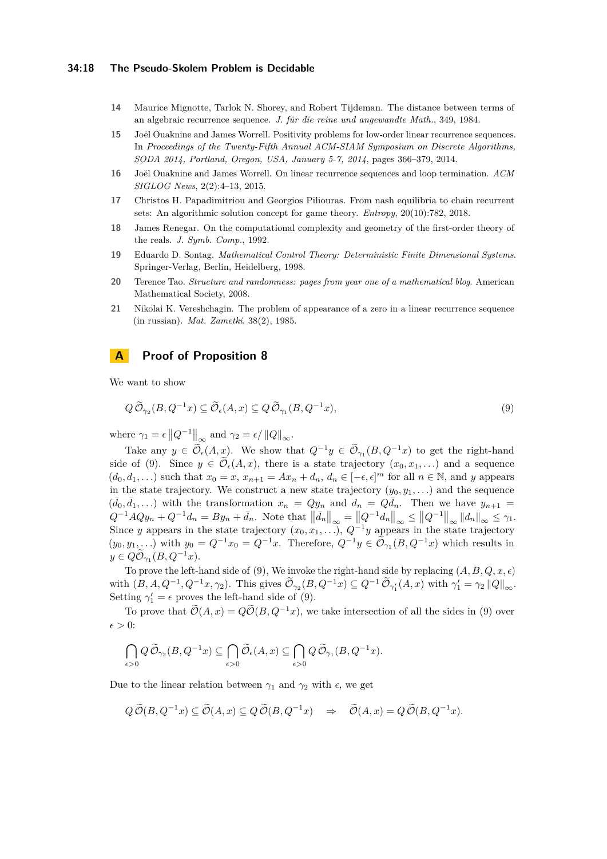### **34:18 The Pseudo-Skolem Problem is Decidable**

- <span id="page-17-2"></span>**14** Maurice Mignotte, Tarlok N. Shorey, and Robert Tijdeman. The distance between terms of an algebraic recurrence sequence. *J. für die reine und angewandte Math.*, 349, 1984.
- <span id="page-17-6"></span>**15** Joël Ouaknine and James Worrell. Positivity problems for low-order linear recurrence sequences. In *Proceedings of the Twenty-Fifth Annual ACM-SIAM Symposium on Discrete Algorithms, SODA 2014, Portland, Oregon, USA, January 5-7, 2014*, pages 366–379, 2014.
- <span id="page-17-1"></span>**16** Joël Ouaknine and James Worrell. On linear recurrence sequences and loop termination. *ACM SIGLOG News*, 2(2):4–13, 2015.
- <span id="page-17-4"></span>**17** Christos H. Papadimitriou and Georgios Piliouras. From nash equilibria to chain recurrent sets: An algorithmic solution concept for game theory. *Entropy*, 20(10):782, 2018.
- <span id="page-17-7"></span>**18** James Renegar. On the computational complexity and geometry of the first-order theory of the reals. *J. Symb. Comp.*, 1992.
- <span id="page-17-5"></span>**19** Eduardo D. Sontag. *Mathematical Control Theory: Deterministic Finite Dimensional Systems*. Springer-Verlag, Berlin, Heidelberg, 1998.
- <span id="page-17-0"></span>**20** Terence Tao. *Structure and randomness: pages from year one of a mathematical blog*. American Mathematical Society, 2008.
- <span id="page-17-3"></span>**21** Nikolai K. Vereshchagin. The problem of appearance of a zero in a linear recurrence sequence (in russian). *Mat. Zametki*, 38(2), 1985.

## **A Proof of Proposition [8](#page-3-0)**

We want to show

<span id="page-17-8"></span>
$$
Q\,\widetilde{\mathcal{O}}_{\gamma_2}(B,Q^{-1}x)\subseteq\widetilde{\mathcal{O}}_{\epsilon}(A,x)\subseteq Q\,\widetilde{\mathcal{O}}_{\gamma_1}(B,Q^{-1}x),\tag{9}
$$

where  $\gamma_1 = \epsilon \left\| Q^{-1} \right\|_{\infty}$  and  $\gamma_2 = \epsilon / \left\| Q \right\|_{\infty}$ .

Take any  $y \in \widetilde{\mathcal{O}}_{\epsilon}(A, x)$ . We show that  $Q^{-1}y \in \widetilde{\mathcal{O}}_{\gamma_1}(B, Q^{-1}x)$  to get the right-hand side of [\(9\)](#page-17-8). Since  $y \in \widetilde{\mathcal{O}}_{\epsilon}(A,x)$ , there is a state trajectory  $(x_0, x_1, \ldots)$  and a sequence  $(d_0, d_1, \ldots)$  such that  $x_0 = x$ ,  $x_{n+1} = Ax_n + d_n$ ,  $d_n \in [-\epsilon, \epsilon]^m$  for all  $n \in \mathbb{N}$ , and *y* appears in the state trajectory. We construct a new state trajectory  $(y_0, y_1, \ldots)$  and the sequence  $(\bar{d}_0, \bar{d}_1, \ldots)$  with the transformation  $x_n = Qy_n$  and  $d_n = Q\bar{d}_n$ . Then we have  $y_{n+1} =$  $Q^{-1}AQy_n + Q^{-1}d_n = By_n + \bar{d}_n$ . Note that  $\|\bar{d}_n\|_{\infty} = ||Q^{-1}d_n||_{\infty} \le ||Q^{-1}||_{\infty} ||d_n||_{\infty} \le \gamma_1$ . Since *y* appears in the state trajectory  $(x_0, x_1, \ldots), Q^{-1}y$  appears in the state trajectory  $(y_0, y_1, \ldots)$  with  $y_0 = Q^{-1}x_0 = Q^{-1}x$ . Therefore,  $Q^{-1}y \in \mathcal{O}_{\gamma_1}(B, Q^{-1}x)$  which results in  $y \in Q\widetilde{\mathcal{O}}_{\gamma_1}(B, Q^{-1}x).$ 

To prove the left-hand side of [\(9\)](#page-17-8), We invoke the right-hand side by replacing  $(A, B, Q, x, \epsilon)$  $\widetilde{\mathcal{O}}_{\gamma_1}(B, A, Q^{-1}, Q^{-1}x, \gamma_2)$ . This gives  $\widetilde{\mathcal{O}}_{\gamma_2}(B, Q^{-1}x) \subseteq Q^{-1} \widetilde{\mathcal{O}}_{\gamma'_1}(A, x)$  with  $\gamma'_1 = \gamma_2 ||Q||_{\infty}$ . Setting  $\gamma'_1 = \epsilon$  proves the left-hand side of [\(9\)](#page-17-8).

To prove that  $\widetilde{\mathcal{O}}(A, x) = Q\widetilde{\mathcal{O}}(B, Q^{-1}x)$ , we take intersection of all the sides in [\(9\)](#page-17-8) over  $\epsilon > 0$ :

$$
\bigcap_{\epsilon>0}Q\,\widetilde{\mathcal O}_{\gamma_2}(B,Q^{-1}x)\subseteq\bigcap_{\epsilon>0}\,\widetilde{\mathcal O}_\epsilon(A,x)\subseteq\bigcap_{\epsilon>0}Q\,\widetilde{\mathcal O}_{\gamma_1}(B,Q^{-1}x).
$$

Due to the linear relation between  $γ_1$  and  $γ_2$  with  $ε$ , we get

$$
Q\,\widetilde{\mathcal{O}}(B,Q^{-1}x)\subseteq \widetilde{\mathcal{O}}(A,x)\subseteq Q\,\widetilde{\mathcal{O}}(B,Q^{-1}x) \quad \Rightarrow \quad \widetilde{\mathcal{O}}(A,x)=Q\,\widetilde{\mathcal{O}}(B,Q^{-1}x).
$$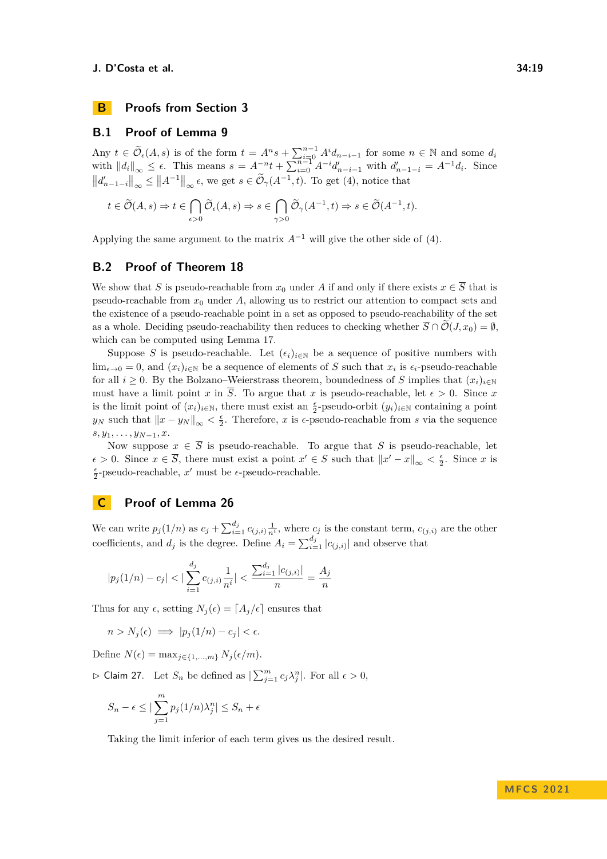

### **B.1 Proof of Lemma [9](#page-5-0)**

Any  $t \in \widetilde{\mathcal{O}}_{\epsilon}(A, s)$  is of the form  $t = A^n s + \sum_{i=0}^{n-1} A^i d_{n-i-1}$  for some  $n \in \mathbb{N}$  and some  $d_i$ with  $||d_i||_{\infty} \leq \epsilon$ . This means  $s = A^{-n}t + \sum_{i=0}^{n-1} A^{-i} d'_{n-i-1}$  with  $d'_{n-1-i} = A^{-1} d_i$ . Since  $||d'_{n-1-i}||_{\infty} \le ||A^{-1}||_{\infty} \epsilon$ , we get  $s \in \tilde{\mathcal{O}}_{\gamma}(A^{-1}, t)$ . To get [\(4\)](#page-5-2), notice that

$$
t\in \widetilde{\mathcal O}(A,s) \Rightarrow t\in \bigcap_{\epsilon>0}\widetilde{\mathcal O}_\epsilon(A,s) \Rightarrow s\in \bigcap_{\gamma>0}\widetilde{\mathcal O}_\gamma(A^{-1},t) \Rightarrow s\in \widetilde{\mathcal O}(A^{-1},t).
$$

Applying the same argument to the matrix  $A^{-1}$  will give the other side of [\(4\)](#page-5-2).

### <span id="page-18-0"></span>**B.2 Proof of Theorem [18](#page-9-1)**

We show that *S* is pseudo-reachable from  $x_0$  under *A* if and only if there exists  $x \in \overline{S}$  that is pseudo-reachable from  $x_0$  under  $A$ , allowing us to restrict our attention to compact sets and the existence of a pseudo-reachable point in a set as opposed to pseudo-reachability of the set as a whole. Deciding pseudo-reachability then reduces to checking whether  $\overline{S} \cap \overline{\mathcal{O}}(J, x_0) = \emptyset$ . which can be computed using Lemma [17.](#page-8-1)

Suppose *S* is pseudo-reachable. Let  $(\epsilon_i)_{i\in\mathbb{N}}$  be a sequence of positive numbers with lim<sub> $\epsilon \to 0$ </sub> = 0, and  $(x_i)_{i \in \mathbb{N}}$  be a sequence of elements of *S* such that  $x_i$  is  $\epsilon_i$ -pseudo-reachable for all *i*  $\geq 0$ . By the Bolzano–Weierstrass theorem, boundedness of *S* implies that  $(x_i)_{i\in\mathbb{N}}$ must have a limit point *x* in  $\overline{S}$ . To argue that *x* is pseudo-reachable, let  $\epsilon > 0$ . Since *x* is the limit point of  $(x_i)_{i \in \mathbb{N}}$ , there must exist an  $\frac{\epsilon}{2}$ -pseudo-orbit  $(y_i)_{i \in \mathbb{N}}$  containing a point  $y_N$  such that  $||x - y_N||_{\infty} < \frac{\epsilon}{2}$ . Therefore, *x* is *∈*-pseudo-reachable from *s* via the sequence *s, y*1*, . . . , yN*−1*, x*.

Now suppose  $x \in \overline{S}$  is pseudo-reachable. To argue that *S* is pseudo-reachable, let  $\epsilon$  > 0. Since  $x \in \overline{S}$ , there must exist a point  $x' \in S$  such that  $||x'-x||_{\infty} < \frac{\epsilon}{2}$ . Since *x* is *ϵ* 2 -pseudo-reachable, *x* ′ must be *ϵ*-pseudo-reachable.

# **C Proof of Lemma [26](#page-15-4)**

We can write  $p_j(1/n)$  as  $c_j + \sum_{i=1}^{d_j} c_{(j,i)} \frac{1}{n^i}$ , where  $c_j$  is the constant term,  $c_{(j,i)}$  are the other coefficients, and  $d_j$  is the degree. Define  $A_i = \sum_{i=1}^{d_j} |c_{(j,i)}|$  and observe that

$$
|p_j(1/n) - c_j| < |\sum_{i=1}^{d_j} c_{(j,i)} \frac{1}{n^i}| < \frac{\sum_{i=1}^{d_j} |c_{(j,i)}|}{n} = \frac{A_j}{n}
$$

Thus for any  $\epsilon$ , setting  $N_i(\epsilon) = [A_i/\epsilon]$  ensures that

$$
n > N_j(\epsilon) \implies |p_j(1/n) - c_j| < \epsilon.
$$

Define  $N(\epsilon) = \max_{i \in \{1, \ldots, m\}} N_i(\epsilon/m)$ .

<span id="page-18-1"></span> $\rhd$  Claim 27. Let  $S_n$  be defined as  $\sum_{j=1}^m c_j \lambda_j^n$ . For all  $\epsilon > 0$ ,

$$
S_n - \epsilon \leq |\sum_{j=1}^m p_j(1/n)\lambda_j^n| \leq S_n + \epsilon
$$

Taking the limit inferior of each term gives us the desired result.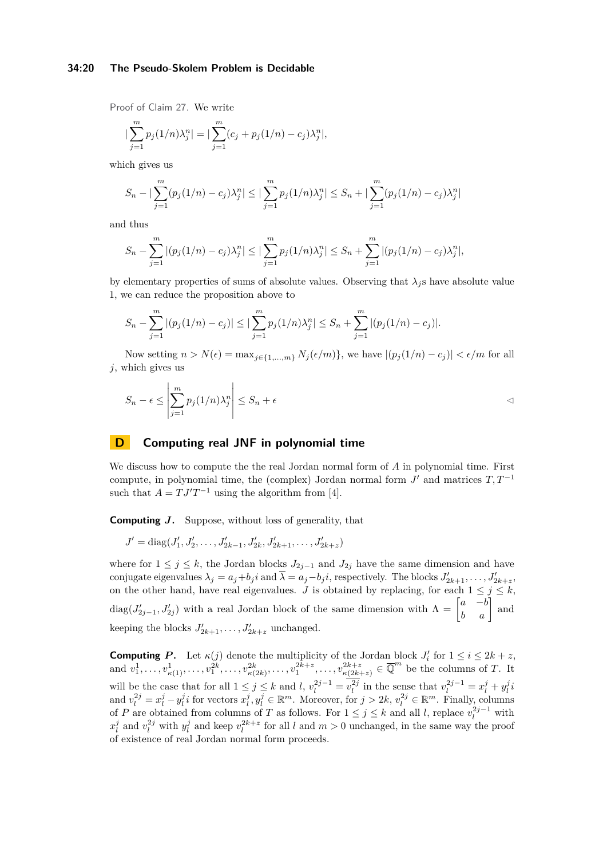### **34:20 The Pseudo-Skolem Problem is Decidable**

Proof of Claim [27.](#page-18-1) We write

$$
\left|\sum_{j=1}^{m} p_j(1/n)\lambda_j^n\right| = \left|\sum_{j=1}^{m} (c_j + p_j(1/n) - c_j)\lambda_j^n\right|,
$$

which gives us

$$
S_n - |\sum_{j=1}^m (p_j(1/n) - c_j)\lambda_j^n| \leq |\sum_{j=1}^m p_j(1/n)\lambda_j^n| \leq S_n + |\sum_{j=1}^m (p_j(1/n) - c_j)\lambda_j^n|
$$

and thus

$$
S_n - \sum_{j=1}^m |(p_j(1/n) - c_j)\lambda_j^n| \leq |\sum_{j=1}^m p_j(1/n)\lambda_j^n| \leq S_n + \sum_{j=1}^m |(p_j(1/n) - c_j)\lambda_j^n|,
$$

by elementary properties of sums of absolute values. Observing that  $\lambda_j$  s have absolute value 1, we can reduce the proposition above to

$$
S_n - \sum_{j=1}^m |(p_j(1/n) - c_j)| \le |\sum_{j=1}^m p_j(1/n)\lambda_j^n| \le S_n + \sum_{j=1}^m |(p_j(1/n) - c_j)|.
$$

Now setting  $n > N(\epsilon) = \max_{j \in \{1, ..., m\}} N_j(\epsilon/m)$ , we have  $|(p_j(1/n) - c_j)| < \epsilon/m$  for all *j*, which gives us

$$
S_n - \epsilon \le \left| \sum_{j=1}^m p_j (1/n) \lambda_j^n \right| \le S_n + \epsilon
$$

# <span id="page-19-0"></span>**D Computing real JNF in polynomial time**

We discuss how to compute the the real Jordan normal form of *A* in polynomial time. First compute, in polynomial time, the (complex) Jordan normal form  $J'$  and matrices  $T, T^{-1}$ such that  $A = TJ'T^{-1}$  using the algorithm from [\[4\]](#page-16-6).

**Computing** *J***.** Suppose, without loss of generality, that

$$
J' = diag(J'_1, J'_2, \dots, J'_{2k-1}, J'_{2k}, J'_{2k+1}, \dots, J'_{2k+2})
$$

where for  $1 \leq j \leq k$ , the Jordan blocks  $J_{2j-1}$  and  $J_{2j}$  have the same dimension and have conjugate eigenvalues  $\lambda_j = a_j + b_j i$  and  $\overline{\lambda} = a_j - b_j i$ , respectively. The blocks  $J'_{2k+1}, \ldots, J'_{2k+z}$ , on the other hand, have real eigenvalues. *J* is obtained by replacing, for each  $1 \leq j \leq k$ ,  $diag(J'_{2j-1}, J'_{2j})$  with a real Jordan block of the same dimension with  $\Lambda = \begin{bmatrix} a & -b \\ b & a \end{bmatrix}$  and keeping the blocks  $J'_{2k+1}, \ldots, J'_{2k+z}$  unchanged.

**Computing P.** Let  $\kappa(j)$  denote the multiplicity of the Jordan block  $J'_i$  for  $1 \le i \le 2k + z$ , and  $v_1^1, \ldots, v_{\kappa(1)}^1, \ldots, v_1^{2k}, \ldots, v_{\kappa(2k)}^{2k}, \ldots, v_1^{2k+z}, \ldots, v_{\kappa(2k+z)}^{2k+z} \in \overline{\mathbb{Q}}^m$  be the columns of T. It will be the case that for all  $1 \leq j \leq k$  and l,  $v_l^{2j-1} = v_l^{2j}$  in the sense that  $v_l^{2j-1} = x_l^j + y_l^j i$ and  $v_l^{2j} = x_l^j - y_l^j i$  for vectors  $x_l^j, y_l^j \in \mathbb{R}^m$ . Moreover, for  $j > 2k$ ,  $v_l^{2j} \in \mathbb{R}^m$ . Finally, columns of *P* are obtained from columns of *T* as follows. For  $1 \leq j \leq k$  and all *l*, replace  $v_l^{2j-1}$  with  $x_l^j$  and  $v_l^{2j}$  with  $y_l^j$  and keep  $v_l^{2k+z}$  for all *l* and  $m > 0$  unchanged, in the same way the proof of existence of real Jordan normal form proceeds.